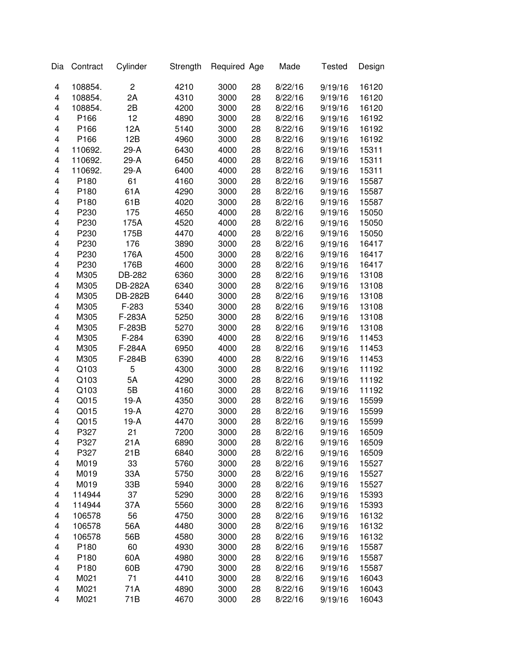| Dia | Contract         | Cylinder       | Strength | Required Age |    | Made    | <b>Tested</b> | Design |
|-----|------------------|----------------|----------|--------------|----|---------|---------------|--------|
| 4   | 108854.          | $\overline{c}$ | 4210     | 3000         | 28 | 8/22/16 | 9/19/16       | 16120  |
| 4   | 108854.          | 2A             | 4310     | 3000         | 28 | 8/22/16 | 9/19/16       | 16120  |
| 4   | 108854.          | 2B             | 4200     | 3000         | 28 | 8/22/16 | 9/19/16       | 16120  |
| 4   | P166             | 12             | 4890     | 3000         | 28 | 8/22/16 | 9/19/16       | 16192  |
| 4   | P166             | 12A            | 5140     | 3000         | 28 | 8/22/16 | 9/19/16       | 16192  |
| 4   | P166             | 12B            | 4960     | 3000         | 28 | 8/22/16 | 9/19/16       | 16192  |
| 4   | 110692.          | 29-A           | 6430     | 4000         | 28 | 8/22/16 | 9/19/16       | 15311  |
| 4   | 110692.          | 29-A           | 6450     | 4000         | 28 | 8/22/16 | 9/19/16       | 15311  |
| 4   | 110692.          | 29-A           | 6400     | 4000         | 28 | 8/22/16 | 9/19/16       | 15311  |
| 4   | P <sub>180</sub> | 61             | 4160     | 3000         | 28 | 8/22/16 | 9/19/16       | 15587  |
| 4   | P <sub>180</sub> | 61A            | 4290     | 3000         | 28 | 8/22/16 | 9/19/16       | 15587  |
| 4   | P <sub>180</sub> | 61B            | 4020     | 3000         | 28 | 8/22/16 | 9/19/16       | 15587  |
| 4   | P230             | 175            | 4650     | 4000         | 28 | 8/22/16 | 9/19/16       | 15050  |
| 4   | P230             | 175A           | 4520     | 4000         | 28 | 8/22/16 | 9/19/16       | 15050  |
| 4   | P230             | 175B           | 4470     | 4000         | 28 | 8/22/16 | 9/19/16       | 15050  |
| 4   | P230             | 176            | 3890     | 3000         | 28 | 8/22/16 | 9/19/16       | 16417  |
| 4   | P230             | 176A           | 4500     | 3000         | 28 | 8/22/16 | 9/19/16       | 16417  |
| 4   | P230             | 176B           | 4600     | 3000         | 28 | 8/22/16 | 9/19/16       | 16417  |
| 4   | M305             | DB-282         | 6360     | 3000         | 28 | 8/22/16 | 9/19/16       | 13108  |
| 4   | M305             | <b>DB-282A</b> | 6340     | 3000         | 28 | 8/22/16 | 9/19/16       | 13108  |
| 4   | M305             | <b>DB-282B</b> | 6440     | 3000         | 28 | 8/22/16 | 9/19/16       | 13108  |
| 4   | M305             | F-283          | 5340     | 3000         | 28 | 8/22/16 | 9/19/16       | 13108  |
| 4   | M305             | F-283A         | 5250     | 3000         | 28 | 8/22/16 | 9/19/16       | 13108  |
| 4   | M305             | F-283B         | 5270     | 3000         | 28 | 8/22/16 | 9/19/16       | 13108  |
| 4   | M305             | F-284          | 6390     | 4000         | 28 | 8/22/16 | 9/19/16       | 11453  |
| 4   | M305             | F-284A         | 6950     | 4000         | 28 | 8/22/16 | 9/19/16       | 11453  |
| 4   | M305             | F-284B         | 6390     | 4000         | 28 | 8/22/16 | 9/19/16       | 11453  |
| 4   | Q103             | 5              | 4300     | 3000         | 28 | 8/22/16 | 9/19/16       | 11192  |
| 4   | Q103             | 5A             | 4290     | 3000         | 28 | 8/22/16 | 9/19/16       | 11192  |
| 4   | Q103             | 5B             | 4160     | 3000         | 28 | 8/22/16 | 9/19/16       | 11192  |
| 4   | Q015             | $19-A$         | 4350     | 3000         | 28 | 8/22/16 | 9/19/16       | 15599  |
| 4   | Q015             | $19-A$         | 4270     | 3000         | 28 | 8/22/16 | 9/19/16       | 15599  |
| 4   | Q015             | $19-A$         | 4470     | 3000         | 28 | 8/22/16 | 9/19/16       | 15599  |
| 4   | P327             | 21             | 7200     | 3000         | 28 | 8/22/16 | 9/19/16       | 16509  |
| 4   | P327             | 21A            | 6890     | 3000         | 28 | 8/22/16 | 9/19/16       | 16509  |
| 4   | P327             | 21B            | 6840     | 3000         | 28 | 8/22/16 | 9/19/16       | 16509  |
| 4   | M019             | 33             | 5760     | 3000         | 28 | 8/22/16 | 9/19/16       | 15527  |
| 4   | M019             | 33A            | 5750     | 3000         | 28 | 8/22/16 | 9/19/16       | 15527  |
| 4   | M019             | 33B            | 5940     | 3000         | 28 | 8/22/16 | 9/19/16       | 15527  |
| 4   | 114944           | 37             | 5290     | 3000         | 28 | 8/22/16 | 9/19/16       | 15393  |
| 4   | 114944           | 37A            | 5560     | 3000         | 28 | 8/22/16 | 9/19/16       | 15393  |
| 4   | 106578           | 56             | 4750     | 3000         | 28 | 8/22/16 | 9/19/16       | 16132  |
| 4   | 106578           | 56A            | 4480     | 3000         | 28 | 8/22/16 | 9/19/16       | 16132  |
| 4   | 106578           | 56B            | 4580     | 3000         | 28 | 8/22/16 | 9/19/16       | 16132  |
| 4   | P <sub>180</sub> | 60             | 4930     | 3000         | 28 | 8/22/16 | 9/19/16       | 15587  |
| 4   | P180             | 60A            | 4980     | 3000         | 28 | 8/22/16 | 9/19/16       | 15587  |
| 4   | P180             | 60B            | 4790     | 3000         | 28 | 8/22/16 | 9/19/16       | 15587  |
| 4   | M021             | 71             | 4410     | 3000         | 28 | 8/22/16 | 9/19/16       | 16043  |
| 4   | M021             | 71A            | 4890     | 3000         | 28 | 8/22/16 | 9/19/16       | 16043  |
| 4   | M021             | 71B            | 4670     | 3000         | 28 | 8/22/16 | 9/19/16       | 16043  |
|     |                  |                |          |              |    |         |               |        |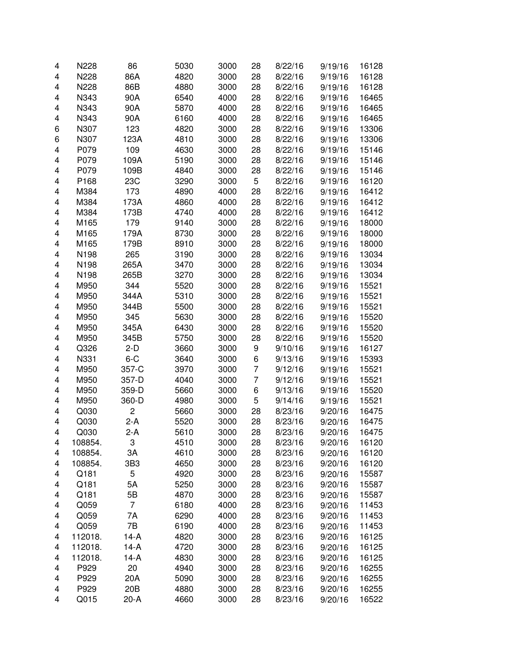| 4 | N228    | 86              | 5030 | 3000 | 28             | 8/22/16 | 9/19/16 | 16128 |
|---|---------|-----------------|------|------|----------------|---------|---------|-------|
| 4 | N228    | 86A             | 4820 | 3000 | 28             | 8/22/16 | 9/19/16 | 16128 |
| 4 | N228    | 86B             | 4880 | 3000 | 28             | 8/22/16 | 9/19/16 | 16128 |
| 4 | N343    | 90A             | 6540 | 4000 | 28             | 8/22/16 | 9/19/16 | 16465 |
| 4 | N343    | 90A             | 5870 | 4000 | 28             | 8/22/16 | 9/19/16 | 16465 |
| 4 | N343    | 90A             | 6160 | 4000 | 28             | 8/22/16 | 9/19/16 | 16465 |
| 6 | N307    | 123             | 4820 | 3000 | 28             | 8/22/16 | 9/19/16 | 13306 |
| 6 | N307    | 123A            | 4810 | 3000 | 28             | 8/22/16 | 9/19/16 | 13306 |
| 4 | P079    | 109             | 4630 | 3000 | 28             | 8/22/16 | 9/19/16 | 15146 |
| 4 | P079    | 109A            | 5190 | 3000 | 28             | 8/22/16 | 9/19/16 | 15146 |
| 4 | P079    | 109B            | 4840 | 3000 | 28             | 8/22/16 | 9/19/16 | 15146 |
| 4 | P168    | 23C             | 3290 | 3000 | 5              | 8/22/16 | 9/19/16 | 16120 |
| 4 | M384    | 173             | 4890 | 4000 | 28             | 8/22/16 | 9/19/16 | 16412 |
| 4 | M384    | 173A            | 4860 | 4000 | 28             | 8/22/16 | 9/19/16 | 16412 |
|   | M384    |                 |      |      |                |         |         |       |
| 4 |         | 173B            | 4740 | 4000 | 28             | 8/22/16 | 9/19/16 | 16412 |
| 4 | M165    | 179             | 9140 | 3000 | 28             | 8/22/16 | 9/19/16 | 18000 |
| 4 | M165    | 179A            | 8730 | 3000 | 28             | 8/22/16 | 9/19/16 | 18000 |
| 4 | M165    | 179B            | 8910 | 3000 | 28             | 8/22/16 | 9/19/16 | 18000 |
| 4 | N198    | 265             | 3190 | 3000 | 28             | 8/22/16 | 9/19/16 | 13034 |
| 4 | N198    | 265A            | 3470 | 3000 | 28             | 8/22/16 | 9/19/16 | 13034 |
| 4 | N198    | 265B            | 3270 | 3000 | 28             | 8/22/16 | 9/19/16 | 13034 |
| 4 | M950    | 344             | 5520 | 3000 | 28             | 8/22/16 | 9/19/16 | 15521 |
| 4 | M950    | 344A            | 5310 | 3000 | 28             | 8/22/16 | 9/19/16 | 15521 |
| 4 | M950    | 344B            | 5500 | 3000 | 28             | 8/22/16 | 9/19/16 | 15521 |
| 4 | M950    | 345             | 5630 | 3000 | 28             | 8/22/16 | 9/19/16 | 15520 |
| 4 | M950    | 345A            | 6430 | 3000 | 28             | 8/22/16 | 9/19/16 | 15520 |
| 4 | M950    | 345B            | 5750 | 3000 | 28             | 8/22/16 | 9/19/16 | 15520 |
| 4 | Q326    | $2-D$           | 3660 | 3000 | 9              | 9/10/16 | 9/19/16 | 16127 |
| 4 | N331    | $6 - C$         | 3640 | 3000 | 6              | 9/13/16 | 9/19/16 | 15393 |
| 4 | M950    | 357-C           | 3970 | 3000 | $\overline{7}$ | 9/12/16 | 9/19/16 | 15521 |
| 4 | M950    | 357-D           | 4040 | 3000 | 7              | 9/12/16 | 9/19/16 | 15521 |
| 4 | M950    | 359-D           | 5660 | 3000 | 6              | 9/13/16 | 9/19/16 | 15520 |
| 4 | M950    | 360-D           | 4980 | 3000 | 5              | 9/14/16 | 9/19/16 | 15521 |
| 4 | Q030    | $\overline{c}$  | 5660 | 3000 | 28             | 8/23/16 | 9/20/16 | 16475 |
| 4 | Q030    | $2-A$           | 5520 | 3000 | 28             | 8/23/16 | 9/20/16 | 16475 |
| 4 | Q030    | 2-A             | 5610 | 3000 | 28             | 8/23/16 | 9/20/16 | 16475 |
| 4 | 108854. | З               | 4510 | 3000 | 28             | 8/23/16 | 9/20/16 | 16120 |
| 4 | 108854. | ЗΑ              | 4610 | 3000 | 28             | 8/23/16 | 9/20/16 | 16120 |
| 4 | 108854. | 3B3             | 4650 | 3000 | 28             | 8/23/16 | 9/20/16 | 16120 |
| 4 | Q181    | 5               | 4920 | 3000 | 28             | 8/23/16 | 9/20/16 | 15587 |
| 4 | Q181    | 5A              | 5250 | 3000 | 28             | 8/23/16 | 9/20/16 | 15587 |
| 4 | Q181    | 5B              | 4870 | 3000 | 28             | 8/23/16 | 9/20/16 | 15587 |
| 4 | Q059    | $\overline{7}$  | 6180 | 4000 | 28             | 8/23/16 | 9/20/16 | 11453 |
| 4 | Q059    | 7A              | 6290 | 4000 | 28             | 8/23/16 | 9/20/16 | 11453 |
| 4 | Q059    | 7B              | 6190 | 4000 | 28             | 8/23/16 | 9/20/16 | 11453 |
| 4 | 112018. | $14-A$          | 4820 | 3000 | 28             | 8/23/16 | 9/20/16 | 16125 |
| 4 | 112018. | $14-A$          | 4720 | 3000 | 28             | 8/23/16 | 9/20/16 | 16125 |
| 4 | 112018. | $14-A$          | 4830 | 3000 | 28             | 8/23/16 | 9/20/16 | 16125 |
|   | P929    | 20              |      |      | 28             |         |         |       |
| 4 |         |                 | 4940 | 3000 |                | 8/23/16 | 9/20/16 | 16255 |
| 4 | P929    | 20A             | 5090 | 3000 | 28             | 8/23/16 | 9/20/16 | 16255 |
| 4 | P929    | 20 <sub>B</sub> | 4880 | 3000 | 28             | 8/23/16 | 9/20/16 | 16255 |
| 4 | Q015    | 20-A            | 4660 | 3000 | 28             | 8/23/16 | 9/20/16 | 16522 |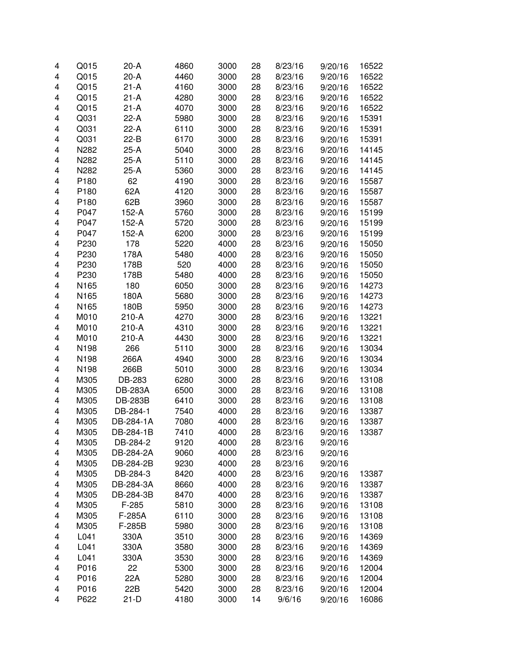| 4 | Q015 | $20-A$         | 4860 | 3000 | 28 | 8/23/16 | 9/20/16 | 16522 |
|---|------|----------------|------|------|----|---------|---------|-------|
| 4 | Q015 | $20-A$         | 4460 | 3000 | 28 | 8/23/16 | 9/20/16 | 16522 |
| 4 | Q015 | $21-A$         | 4160 | 3000 | 28 | 8/23/16 | 9/20/16 | 16522 |
| 4 | Q015 | $21-A$         | 4280 | 3000 | 28 | 8/23/16 | 9/20/16 | 16522 |
| 4 | Q015 | $21-A$         | 4070 | 3000 | 28 | 8/23/16 | 9/20/16 | 16522 |
| 4 | Q031 | $22-A$         | 5980 | 3000 | 28 | 8/23/16 | 9/20/16 | 15391 |
| 4 | Q031 | $22-A$         | 6110 | 3000 | 28 | 8/23/16 | 9/20/16 | 15391 |
| 4 | Q031 | $22-B$         | 6170 | 3000 | 28 | 8/23/16 | 9/20/16 | 15391 |
| 4 | N282 | $25-A$         | 5040 | 3000 | 28 | 8/23/16 | 9/20/16 | 14145 |
| 4 | N282 | $25-A$         | 5110 | 3000 | 28 | 8/23/16 | 9/20/16 | 14145 |
| 4 | N282 | $25-A$         | 5360 | 3000 | 28 | 8/23/16 | 9/20/16 | 14145 |
| 4 | P180 | 62             | 4190 | 3000 | 28 | 8/23/16 | 9/20/16 | 15587 |
| 4 | P180 | 62A            | 4120 | 3000 | 28 | 8/23/16 | 9/20/16 | 15587 |
| 4 | P180 | 62B            | 3960 | 3000 | 28 | 8/23/16 | 9/20/16 | 15587 |
| 4 | P047 | 152-A          | 5760 | 3000 | 28 | 8/23/16 | 9/20/16 | 15199 |
| 4 | P047 | 152-A          | 5720 | 3000 | 28 | 8/23/16 | 9/20/16 | 15199 |
| 4 | P047 | 152-A          | 6200 | 3000 | 28 | 8/23/16 | 9/20/16 | 15199 |
| 4 | P230 | 178            | 5220 | 4000 | 28 | 8/23/16 | 9/20/16 | 15050 |
| 4 | P230 | 178A           | 5480 | 4000 | 28 | 8/23/16 | 9/20/16 | 15050 |
| 4 | P230 | 178B           | 520  | 4000 | 28 | 8/23/16 | 9/20/16 | 15050 |
| 4 | P230 | 178B           | 5480 | 4000 | 28 | 8/23/16 | 9/20/16 | 15050 |
| 4 | N165 | 180            | 6050 | 3000 | 28 | 8/23/16 | 9/20/16 | 14273 |
| 4 | N165 | 180A           | 5680 | 3000 | 28 | 8/23/16 | 9/20/16 | 14273 |
| 4 | N165 | 180B           | 5950 | 3000 | 28 | 8/23/16 | 9/20/16 | 14273 |
| 4 | M010 | 210-A          | 4270 | 3000 | 28 | 8/23/16 | 9/20/16 | 13221 |
| 4 | M010 | $210-A$        | 4310 | 3000 | 28 | 8/23/16 | 9/20/16 | 13221 |
| 4 | M010 | $210-A$        | 4430 | 3000 | 28 | 8/23/16 | 9/20/16 | 13221 |
| 4 | N198 | 266            | 5110 | 3000 | 28 | 8/23/16 | 9/20/16 | 13034 |
| 4 | N198 | 266A           | 4940 | 3000 | 28 | 8/23/16 | 9/20/16 | 13034 |
| 4 | N198 | 266B           | 5010 | 3000 | 28 | 8/23/16 | 9/20/16 | 13034 |
|   |      | DB-283         |      | 3000 | 28 |         | 9/20/16 |       |
| 4 | M305 |                | 6280 |      |    | 8/23/16 |         | 13108 |
| 4 | M305 | <b>DB-283A</b> | 6500 | 3000 | 28 | 8/23/16 | 9/20/16 | 13108 |
| 4 | M305 | <b>DB-283B</b> | 6410 | 3000 | 28 | 8/23/16 | 9/20/16 | 13108 |
| 4 | M305 | DB-284-1       | 7540 | 4000 | 28 | 8/23/16 | 9/20/16 | 13387 |
| 4 | M305 | DB-284-1A      | 7080 | 4000 | 28 | 8/23/16 | 9/20/16 | 13387 |
| 4 | M305 | DB-284-1B      | 7410 | 4000 | 28 | 8/23/16 | 9/20/16 | 13387 |
| 4 | M305 | DB-284-2       | 9120 | 4000 | 28 | 8/23/16 | 9/20/16 |       |
| 4 | M305 | DB-284-2A      | 9060 | 4000 | 28 | 8/23/16 | 9/20/16 |       |
| 4 | M305 | DB-284-2B      | 9230 | 4000 | 28 | 8/23/16 | 9/20/16 |       |
| 4 | M305 | DB-284-3       | 8420 | 4000 | 28 | 8/23/16 | 9/20/16 | 13387 |
| 4 | M305 | DB-284-3A      | 8660 | 4000 | 28 | 8/23/16 | 9/20/16 | 13387 |
| 4 | M305 | DB-284-3B      | 8470 | 4000 | 28 | 8/23/16 | 9/20/16 | 13387 |
| 4 | M305 | F-285          | 5810 | 3000 | 28 | 8/23/16 | 9/20/16 | 13108 |
| 4 | M305 | F-285A         | 6110 | 3000 | 28 | 8/23/16 | 9/20/16 | 13108 |
| 4 | M305 | F-285B         | 5980 | 3000 | 28 | 8/23/16 | 9/20/16 | 13108 |
| 4 | L041 | 330A           | 3510 | 3000 | 28 | 8/23/16 | 9/20/16 | 14369 |
| 4 | L041 | 330A           | 3580 | 3000 | 28 | 8/23/16 | 9/20/16 | 14369 |
| 4 | L041 | 330A           | 3530 | 3000 | 28 | 8/23/16 | 9/20/16 | 14369 |
| 4 | P016 | 22             | 5300 | 3000 | 28 | 8/23/16 | 9/20/16 | 12004 |
| 4 | P016 | 22A            | 5280 | 3000 | 28 | 8/23/16 | 9/20/16 | 12004 |
| 4 | P016 | 22B            | 5420 | 3000 | 28 | 8/23/16 | 9/20/16 | 12004 |
| 4 | P622 | $21-D$         | 4180 | 3000 | 14 | 9/6/16  | 9/20/16 | 16086 |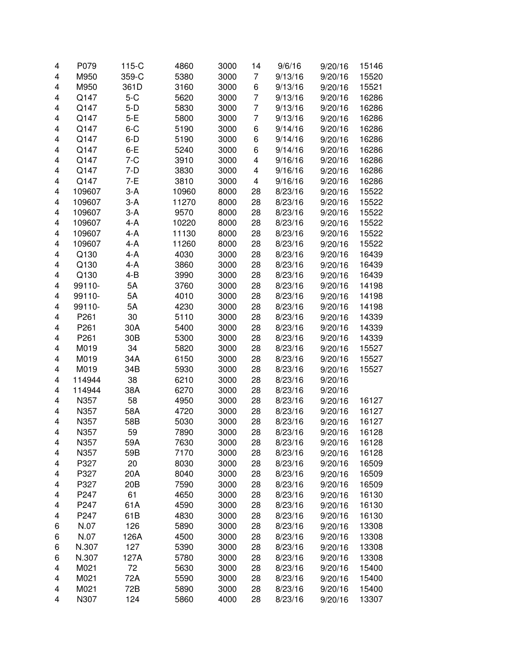| 4 | P079             | $115-C$ | 4860  | 3000 | 14 | 9/6/16  | 9/20/16 | 15146 |
|---|------------------|---------|-------|------|----|---------|---------|-------|
| 4 | M950             | 359-C   | 5380  | 3000 | 7  | 9/13/16 | 9/20/16 | 15520 |
| 4 | M950             | 361D    | 3160  | 3000 | 6  | 9/13/16 | 9/20/16 | 15521 |
| 4 | Q147             | $5-C$   | 5620  | 3000 | 7  | 9/13/16 | 9/20/16 | 16286 |
| 4 | Q147             | $5-D$   | 5830  | 3000 | 7  | 9/13/16 | 9/20/16 | 16286 |
| 4 | Q147             | $5-E$   | 5800  | 3000 | 7  | 9/13/16 | 9/20/16 | 16286 |
| 4 | Q147             | $6 - C$ | 5190  | 3000 | 6  | 9/14/16 | 9/20/16 | 16286 |
|   |                  |         |       |      |    |         |         |       |
| 4 | Q147             | $6-D$   | 5190  | 3000 | 6  | 9/14/16 | 9/20/16 | 16286 |
| 4 | Q147             | $6-E$   | 5240  | 3000 | 6  | 9/14/16 | 9/20/16 | 16286 |
| 4 | Q147             | $7 - C$ | 3910  | 3000 | 4  | 9/16/16 | 9/20/16 | 16286 |
| 4 | Q147             | $7-D$   | 3830  | 3000 | 4  | 9/16/16 | 9/20/16 | 16286 |
| 4 | Q147             | $7-E$   | 3810  | 3000 | 4  | 9/16/16 | 9/20/16 | 16286 |
| 4 | 109607           | $3-A$   | 10960 | 8000 | 28 | 8/23/16 | 9/20/16 | 15522 |
| 4 | 109607           | $3-A$   | 11270 | 8000 | 28 | 8/23/16 | 9/20/16 | 15522 |
| 4 | 109607           | $3-A$   | 9570  | 8000 | 28 | 8/23/16 | 9/20/16 | 15522 |
| 4 | 109607           | 4-A     | 10220 | 8000 | 28 | 8/23/16 | 9/20/16 | 15522 |
| 4 | 109607           | 4-A     | 11130 | 8000 | 28 | 8/23/16 | 9/20/16 | 15522 |
| 4 | 109607           | 4-A     | 11260 | 8000 | 28 | 8/23/16 | 9/20/16 | 15522 |
| 4 | Q130             | 4-A     | 4030  | 3000 | 28 | 8/23/16 | 9/20/16 | 16439 |
| 4 | Q130             | 4-A     | 3860  | 3000 | 28 | 8/23/16 | 9/20/16 | 16439 |
| 4 | Q130             | $4 - B$ | 3990  | 3000 | 28 | 8/23/16 | 9/20/16 | 16439 |
| 4 | 99110-           | 5A      | 3760  | 3000 | 28 | 8/23/16 | 9/20/16 | 14198 |
| 4 | 99110-           | 5A      | 4010  | 3000 | 28 | 8/23/16 | 9/20/16 | 14198 |
| 4 | 99110-           | 5A      | 4230  | 3000 | 28 | 8/23/16 | 9/20/16 | 14198 |
| 4 | P261             | 30      | 5110  | 3000 | 28 | 8/23/16 | 9/20/16 | 14339 |
| 4 | P <sub>261</sub> | 30A     | 5400  | 3000 | 28 | 8/23/16 | 9/20/16 | 14339 |
| 4 | P <sub>261</sub> | 30B     | 5300  | 3000 | 28 | 8/23/16 | 9/20/16 | 14339 |
|   | M019             |         |       |      |    |         |         |       |
| 4 |                  | 34      | 5820  | 3000 | 28 | 8/23/16 | 9/20/16 | 15527 |
| 4 | M019             | 34A     | 6150  | 3000 | 28 | 8/23/16 | 9/20/16 | 15527 |
| 4 | M019             | 34B     | 5930  | 3000 | 28 | 8/23/16 | 9/20/16 | 15527 |
| 4 | 114944           | 38      | 6210  | 3000 | 28 | 8/23/16 | 9/20/16 |       |
| 4 | 114944           | 38A     | 6270  | 3000 | 28 | 8/23/16 | 9/20/16 |       |
| 4 | N357             | 58      | 4950  | 3000 | 28 | 8/23/16 | 9/20/16 | 16127 |
| 4 | N357             | 58A     | 4720  | 3000 | 28 | 8/23/16 | 9/20/16 | 16127 |
| 4 | N357             | 58B     | 5030  | 3000 | 28 | 8/23/16 | 9/20/16 | 16127 |
| 4 | N357             | 59      | 7890  | 3000 | 28 | 8/23/16 | 9/20/16 | 16128 |
| 4 | N357             | 59A     | 7630  | 3000 | 28 | 8/23/16 | 9/20/16 | 16128 |
| 4 | N357             | 59B     | 7170  | 3000 | 28 | 8/23/16 | 9/20/16 | 16128 |
| 4 | P327             | 20      | 8030  | 3000 | 28 | 8/23/16 | 9/20/16 | 16509 |
| 4 | P327             | 20A     | 8040  | 3000 | 28 | 8/23/16 | 9/20/16 | 16509 |
| 4 | P327             | 20B     | 7590  | 3000 | 28 | 8/23/16 | 9/20/16 | 16509 |
| 4 | P247             | 61      | 4650  | 3000 | 28 | 8/23/16 | 9/20/16 | 16130 |
| 4 | P247             | 61A     | 4590  | 3000 | 28 | 8/23/16 | 9/20/16 | 16130 |
| 4 | P247             | 61B     | 4830  | 3000 | 28 | 8/23/16 | 9/20/16 | 16130 |
| 6 | N.07             | 126     | 5890  | 3000 | 28 | 8/23/16 | 9/20/16 | 13308 |
| 6 | N.07             | 126A    | 4500  | 3000 | 28 | 8/23/16 | 9/20/16 | 13308 |
| 6 | N.307            | 127     | 5390  | 3000 | 28 | 8/23/16 | 9/20/16 | 13308 |
| 6 | N.307            | 127A    | 5780  | 3000 | 28 | 8/23/16 | 9/20/16 | 13308 |
| 4 | M021             | 72      | 5630  | 3000 | 28 | 8/23/16 | 9/20/16 | 15400 |
| 4 | M021             | 72A     | 5590  | 3000 | 28 | 8/23/16 | 9/20/16 | 15400 |
| 4 | M021             | 72B     | 5890  | 3000 | 28 | 8/23/16 |         | 15400 |
|   |                  |         |       |      |    |         | 9/20/16 |       |
| 4 | N307             | 124     | 5860  | 4000 | 28 | 8/23/16 | 9/20/16 | 13307 |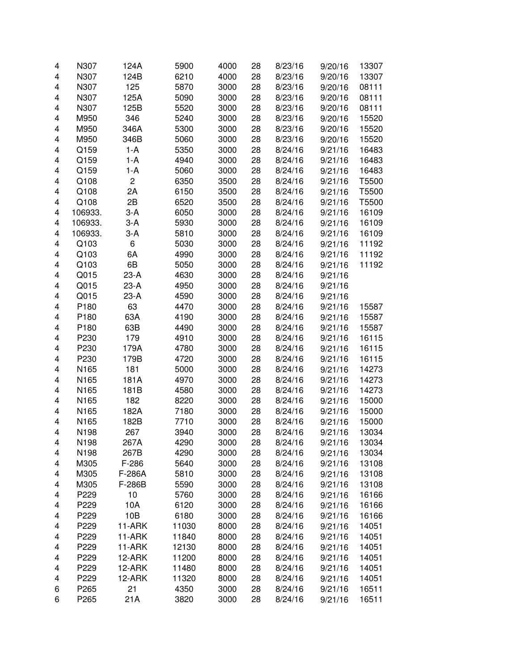| 4 | N307    | 124A           | 5900  | 4000 | 28 | 8/23/16 | 9/20/16 | 13307 |
|---|---------|----------------|-------|------|----|---------|---------|-------|
| 4 | N307    | 124B           | 6210  | 4000 | 28 | 8/23/16 | 9/20/16 | 13307 |
|   | N307    | 125            | 5870  |      |    |         |         |       |
| 4 |         |                |       | 3000 | 28 | 8/23/16 | 9/20/16 | 08111 |
| 4 | N307    | 125A           | 5090  | 3000 | 28 | 8/23/16 | 9/20/16 | 08111 |
| 4 | N307    | 125B           | 5520  | 3000 | 28 | 8/23/16 | 9/20/16 | 08111 |
| 4 | M950    | 346            | 5240  | 3000 | 28 | 8/23/16 | 9/20/16 | 15520 |
| 4 | M950    | 346A           | 5300  | 3000 | 28 | 8/23/16 | 9/20/16 | 15520 |
| 4 | M950    | 346B           | 5060  | 3000 | 28 | 8/23/16 | 9/20/16 | 15520 |
| 4 | Q159    | 1-A            | 5350  | 3000 | 28 | 8/24/16 | 9/21/16 | 16483 |
| 4 | Q159    | $1-A$          | 4940  | 3000 | 28 | 8/24/16 | 9/21/16 | 16483 |
| 4 | Q159    | $1-A$          | 5060  | 3000 | 28 | 8/24/16 | 9/21/16 | 16483 |
| 4 | Q108    | $\overline{c}$ | 6350  | 3500 | 28 | 8/24/16 | 9/21/16 | T5500 |
| 4 | Q108    | 2Α             | 6150  | 3500 | 28 | 8/24/16 | 9/21/16 | T5500 |
| 4 | Q108    | 2B             | 6520  | 3500 | 28 | 8/24/16 | 9/21/16 | T5500 |
| 4 | 106933. | $3-A$          | 6050  | 3000 | 28 | 8/24/16 | 9/21/16 | 16109 |
| 4 | 106933. | $3-A$          | 5930  | 3000 | 28 | 8/24/16 | 9/21/16 | 16109 |
| 4 | 106933. | $3-A$          | 5810  | 3000 | 28 | 8/24/16 | 9/21/16 | 16109 |
| 4 | Q103    | 6              | 5030  | 3000 | 28 | 8/24/16 | 9/21/16 | 11192 |
| 4 | Q103    | 6A             | 4990  | 3000 | 28 | 8/24/16 | 9/21/16 | 11192 |
| 4 | Q103    | 6B             | 5050  | 3000 | 28 | 8/24/16 | 9/21/16 | 11192 |
| 4 | Q015    | $23-A$         | 4630  | 3000 | 28 | 8/24/16 | 9/21/16 |       |
| 4 | Q015    | $23-A$         | 4950  | 3000 | 28 | 8/24/16 | 9/21/16 |       |
| 4 | Q015    | $23-A$         | 4590  | 3000 | 28 | 8/24/16 | 9/21/16 |       |
| 4 | P180    | 63             | 4470  | 3000 | 28 | 8/24/16 | 9/21/16 | 15587 |
| 4 | P180    | 63A            | 4190  | 3000 | 28 | 8/24/16 | 9/21/16 | 15587 |
| 4 | P180    | 63B            | 4490  | 3000 | 28 | 8/24/16 | 9/21/16 | 15587 |
| 4 | P230    | 179            | 4910  | 3000 | 28 | 8/24/16 | 9/21/16 | 16115 |
| 4 | P230    | 179A           | 4780  | 3000 | 28 | 8/24/16 | 9/21/16 | 16115 |
| 4 | P230    | 179B           | 4720  | 3000 | 28 | 8/24/16 | 9/21/16 | 16115 |
| 4 | N165    | 181            | 5000  | 3000 | 28 | 8/24/16 | 9/21/16 | 14273 |
| 4 | N165    | 181A           | 4970  | 3000 | 28 | 8/24/16 | 9/21/16 | 14273 |
| 4 | N165    | 181B           | 4580  | 3000 | 28 | 8/24/16 | 9/21/16 | 14273 |
| 4 | N165    | 182            | 8220  | 3000 | 28 | 8/24/16 | 9/21/16 | 15000 |
| 4 | N165    | 182A           | 7180  | 3000 | 28 | 8/24/16 | 9/21/16 | 15000 |
| 4 | N165    | 182B           | 7710  | 3000 | 28 | 8/24/16 | 9/21/16 | 15000 |
| 4 | N198    | 267            | 3940  | 3000 | 28 | 8/24/16 | 9/21/16 | 13034 |
| 4 | N198    | 267A           | 4290  | 3000 | 28 | 8/24/16 | 9/21/16 | 13034 |
| 4 | N198    | 267B           | 4290  | 3000 | 28 | 8/24/16 | 9/21/16 | 13034 |
| 4 | M305    | F-286          | 5640  | 3000 | 28 | 8/24/16 | 9/21/16 | 13108 |
| 4 | M305    | F-286A         | 5810  | 3000 | 28 | 8/24/16 | 9/21/16 | 13108 |
| 4 | M305    | F-286B         | 5590  | 3000 | 28 | 8/24/16 | 9/21/16 | 13108 |
| 4 | P229    | 10             | 5760  | 3000 | 28 | 8/24/16 | 9/21/16 | 16166 |
| 4 | P229    | 10A            | 6120  | 3000 | 28 | 8/24/16 | 9/21/16 | 16166 |
| 4 | P229    | 10B            | 6180  | 3000 | 28 | 8/24/16 | 9/21/16 | 16166 |
| 4 | P229    | 11-ARK         | 11030 | 8000 | 28 | 8/24/16 | 9/21/16 | 14051 |
| 4 | P229    | 11-ARK         | 11840 | 8000 | 28 | 8/24/16 | 9/21/16 | 14051 |
| 4 | P229    | 11-ARK         | 12130 | 8000 | 28 | 8/24/16 | 9/21/16 | 14051 |
|   |         |                |       |      |    |         |         |       |
| 4 | P229    | 12-ARK         | 11200 | 8000 | 28 | 8/24/16 | 9/21/16 | 14051 |
| 4 | P229    | 12-ARK         | 11480 | 8000 | 28 | 8/24/16 | 9/21/16 | 14051 |
| 4 | P229    | 12-ARK         | 11320 | 8000 | 28 | 8/24/16 | 9/21/16 | 14051 |
| 6 | P265    | 21             | 4350  | 3000 | 28 | 8/24/16 | 9/21/16 | 16511 |
| 6 | P265    | 21A            | 3820  | 3000 | 28 | 8/24/16 | 9/21/16 | 16511 |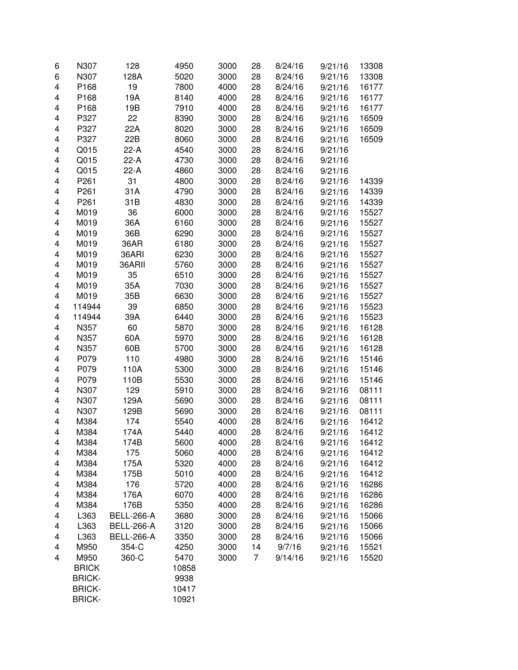| 128A<br>5020<br>13308<br>6<br>N307<br>3000<br>28<br>8/24/16<br>9/21/16<br>19<br>16177<br>4<br>P168<br>7800<br>4000<br>28<br>8/24/16<br>9/21/16<br>19A<br>16177<br>4<br>P168<br>8140<br>4000<br>28<br>8/24/16<br>9/21/16<br>19B<br>16177<br>4<br>P168<br>7910<br>4000<br>28<br>8/24/16<br>9/21/16<br>22<br>16509<br>4<br>P327<br>8390<br>3000<br>28<br>8/24/16<br>9/21/16<br>P327<br>22A<br>8020<br>3000<br>9/21/16<br>16509<br>4<br>28<br>8/24/16<br>4<br>P327<br>22B<br>8060<br>3000<br>28<br>8/24/16<br>9/21/16<br>16509<br>4<br>Q015<br>$22-A$<br>4540<br>3000<br>28<br>8/24/16<br>9/21/16<br>4<br>$22-A$<br>28<br>Q015<br>4730<br>3000<br>8/24/16<br>9/21/16<br>$22-A$<br>28<br>9/21/16<br>4<br>Q015<br>4860<br>3000<br>8/24/16<br>31<br>4<br>P261<br>4800<br>3000<br>28<br>8/24/16<br>14339<br>9/21/16<br>4<br>31A<br>14339<br>P261<br>4790<br>3000<br>28<br>8/24/16<br>9/21/16<br>31B<br>4<br>P261<br>4830<br>3000<br>28<br>8/24/16<br>9/21/16<br>14339<br>4<br>36<br>28<br>M019<br>6000<br>3000<br>8/24/16<br>9/21/16<br>15527<br>4<br>36A<br>28<br>M019<br>6160<br>3000<br>8/24/16<br>9/21/16<br>15527<br>4<br>36B<br>6290<br>28<br>M019<br>3000<br>8/24/16<br>9/21/16<br>15527<br>36AR<br>28<br>4<br>M019<br>6180<br>3000<br>8/24/16<br>9/21/16<br>15527<br>4<br>28<br>M019<br>36ARI<br>6230<br>3000<br>8/24/16<br>9/21/16<br>15527<br>36ARII<br>15527<br>4<br>M019<br>5760<br>3000<br>28<br>8/24/16<br>9/21/16<br>35<br>4<br>M019<br>6510<br>3000<br>28<br>8/24/16<br>15527<br>9/21/16<br>35A<br>4<br>M019<br>7030<br>3000<br>28<br>8/24/16<br>9/21/16<br>15527<br>35B<br>6630<br>4<br>M019<br>3000<br>28<br>8/24/16<br>9/21/16<br>15527<br>39<br>6850<br>3000<br>28<br>15523<br>4<br>114944<br>8/24/16<br>9/21/16<br>4<br>39A<br>6440<br>3000<br>28<br>15523<br>114944<br>8/24/16<br>9/21/16<br>60<br>4<br>5870<br>28<br>N357<br>3000<br>8/24/16<br>9/21/16<br>16128<br>4<br>60A<br>5970<br>28<br>16128<br>N357<br>3000<br>8/24/16<br>9/21/16<br>60B<br>4<br>28<br>9/21/16<br>16128<br>N357<br>5700<br>3000<br>8/24/16<br>4<br>110<br>9/21/16<br>15146<br>P079<br>4980<br>3000<br>28<br>8/24/16<br>4<br>5300<br>9/21/16<br>15146<br>P079<br>110A<br>3000<br>28<br>8/24/16<br>4<br>5530<br>28<br>8/24/16<br>9/21/16<br>15146<br>P079<br>110B<br>3000<br>4<br>129<br>5910<br>28<br>8/24/16<br>9/21/16<br>08111<br>N307<br>3000<br>4<br>129A<br>9/21/16<br>08111<br>N307<br>5690<br>3000<br>28<br>8/24/16<br>4<br>129B<br>9/21/16<br>08111<br>N307<br>5690<br>3000<br>28<br>8/24/16<br>174<br>16412<br>4<br>M384<br>5540<br>4000<br>28<br>8/24/16<br>9/21/16<br>174A<br>9/21/16<br>16412<br>4<br>M384<br>5440<br>4000<br>28<br>8/24/16<br>4<br>M384<br>174B<br>5600<br>4000<br>28<br>8/24/16<br>9/21/16<br>16412<br>16412<br>M384<br>175<br>5060<br>4000<br>28<br>8/24/16<br>4<br>9/21/16<br>16412<br>M384<br>175A<br>5320<br>4000<br>28<br>8/24/16<br>9/21/16<br>4<br>4000<br>16412<br>M384<br>175B<br>5010<br>28<br>8/24/16<br>9/21/16<br>4<br>M384<br>176<br>4000<br>28<br>16286<br>4<br>5720<br>8/24/16<br>9/21/16<br>M384<br>176A<br>4000<br>28<br>16286<br>4<br>6070<br>8/24/16<br>9/21/16<br>M384<br>176B<br>28<br>16286<br>4<br>5350<br>4000<br>8/24/16<br>9/21/16<br>28<br>8/24/16<br>15066<br>4<br>L363<br><b>BELL-266-A</b><br>3680<br>3000<br>9/21/16<br><b>BELL-266-A</b><br>28<br>15066<br>4<br>L363<br>3120<br>3000<br>8/24/16<br>9/21/16<br>L363<br><b>BELL-266-A</b><br>28<br>4<br>3350<br>3000<br>8/24/16<br>9/21/16<br>15066<br>354-C<br>14<br>9/7/16<br>4<br>M950<br>4250<br>3000<br>9/21/16<br>15521<br>360-C<br>4<br>M950<br>5470<br>3000<br>7<br>9/14/16<br>9/21/16<br>15520<br><b>BRICK</b><br>10858<br><b>BRICK-</b><br>9938<br><b>BRICK-</b><br>10417 | 6 | N307          | 128 | 4950  | 3000 | 28 | 8/24/16 | 9/21/16 | 13308 |
|-----------------------------------------------------------------------------------------------------------------------------------------------------------------------------------------------------------------------------------------------------------------------------------------------------------------------------------------------------------------------------------------------------------------------------------------------------------------------------------------------------------------------------------------------------------------------------------------------------------------------------------------------------------------------------------------------------------------------------------------------------------------------------------------------------------------------------------------------------------------------------------------------------------------------------------------------------------------------------------------------------------------------------------------------------------------------------------------------------------------------------------------------------------------------------------------------------------------------------------------------------------------------------------------------------------------------------------------------------------------------------------------------------------------------------------------------------------------------------------------------------------------------------------------------------------------------------------------------------------------------------------------------------------------------------------------------------------------------------------------------------------------------------------------------------------------------------------------------------------------------------------------------------------------------------------------------------------------------------------------------------------------------------------------------------------------------------------------------------------------------------------------------------------------------------------------------------------------------------------------------------------------------------------------------------------------------------------------------------------------------------------------------------------------------------------------------------------------------------------------------------------------------------------------------------------------------------------------------------------------------------------------------------------------------------------------------------------------------------------------------------------------------------------------------------------------------------------------------------------------------------------------------------------------------------------------------------------------------------------------------------------------------------------------------------------------------------------------------------------------------------------------------------------------------------------------------------------------------------------------------------------------------------------------------------------------------------------------------------------------------------------------------------------------------------------------------------------------------------------------------------------------------------------------------------------------------------------------------------------------------------------------------------------------------------------------|---|---------------|-----|-------|------|----|---------|---------|-------|
|                                                                                                                                                                                                                                                                                                                                                                                                                                                                                                                                                                                                                                                                                                                                                                                                                                                                                                                                                                                                                                                                                                                                                                                                                                                                                                                                                                                                                                                                                                                                                                                                                                                                                                                                                                                                                                                                                                                                                                                                                                                                                                                                                                                                                                                                                                                                                                                                                                                                                                                                                                                                                                                                                                                                                                                                                                                                                                                                                                                                                                                                                                                                                                                                                                                                                                                                                                                                                                                                                                                                                                                                                                                                                         |   |               |     |       |      |    |         |         |       |
|                                                                                                                                                                                                                                                                                                                                                                                                                                                                                                                                                                                                                                                                                                                                                                                                                                                                                                                                                                                                                                                                                                                                                                                                                                                                                                                                                                                                                                                                                                                                                                                                                                                                                                                                                                                                                                                                                                                                                                                                                                                                                                                                                                                                                                                                                                                                                                                                                                                                                                                                                                                                                                                                                                                                                                                                                                                                                                                                                                                                                                                                                                                                                                                                                                                                                                                                                                                                                                                                                                                                                                                                                                                                                         |   |               |     |       |      |    |         |         |       |
|                                                                                                                                                                                                                                                                                                                                                                                                                                                                                                                                                                                                                                                                                                                                                                                                                                                                                                                                                                                                                                                                                                                                                                                                                                                                                                                                                                                                                                                                                                                                                                                                                                                                                                                                                                                                                                                                                                                                                                                                                                                                                                                                                                                                                                                                                                                                                                                                                                                                                                                                                                                                                                                                                                                                                                                                                                                                                                                                                                                                                                                                                                                                                                                                                                                                                                                                                                                                                                                                                                                                                                                                                                                                                         |   |               |     |       |      |    |         |         |       |
|                                                                                                                                                                                                                                                                                                                                                                                                                                                                                                                                                                                                                                                                                                                                                                                                                                                                                                                                                                                                                                                                                                                                                                                                                                                                                                                                                                                                                                                                                                                                                                                                                                                                                                                                                                                                                                                                                                                                                                                                                                                                                                                                                                                                                                                                                                                                                                                                                                                                                                                                                                                                                                                                                                                                                                                                                                                                                                                                                                                                                                                                                                                                                                                                                                                                                                                                                                                                                                                                                                                                                                                                                                                                                         |   |               |     |       |      |    |         |         |       |
|                                                                                                                                                                                                                                                                                                                                                                                                                                                                                                                                                                                                                                                                                                                                                                                                                                                                                                                                                                                                                                                                                                                                                                                                                                                                                                                                                                                                                                                                                                                                                                                                                                                                                                                                                                                                                                                                                                                                                                                                                                                                                                                                                                                                                                                                                                                                                                                                                                                                                                                                                                                                                                                                                                                                                                                                                                                                                                                                                                                                                                                                                                                                                                                                                                                                                                                                                                                                                                                                                                                                                                                                                                                                                         |   |               |     |       |      |    |         |         |       |
|                                                                                                                                                                                                                                                                                                                                                                                                                                                                                                                                                                                                                                                                                                                                                                                                                                                                                                                                                                                                                                                                                                                                                                                                                                                                                                                                                                                                                                                                                                                                                                                                                                                                                                                                                                                                                                                                                                                                                                                                                                                                                                                                                                                                                                                                                                                                                                                                                                                                                                                                                                                                                                                                                                                                                                                                                                                                                                                                                                                                                                                                                                                                                                                                                                                                                                                                                                                                                                                                                                                                                                                                                                                                                         |   |               |     |       |      |    |         |         |       |
|                                                                                                                                                                                                                                                                                                                                                                                                                                                                                                                                                                                                                                                                                                                                                                                                                                                                                                                                                                                                                                                                                                                                                                                                                                                                                                                                                                                                                                                                                                                                                                                                                                                                                                                                                                                                                                                                                                                                                                                                                                                                                                                                                                                                                                                                                                                                                                                                                                                                                                                                                                                                                                                                                                                                                                                                                                                                                                                                                                                                                                                                                                                                                                                                                                                                                                                                                                                                                                                                                                                                                                                                                                                                                         |   |               |     |       |      |    |         |         |       |
|                                                                                                                                                                                                                                                                                                                                                                                                                                                                                                                                                                                                                                                                                                                                                                                                                                                                                                                                                                                                                                                                                                                                                                                                                                                                                                                                                                                                                                                                                                                                                                                                                                                                                                                                                                                                                                                                                                                                                                                                                                                                                                                                                                                                                                                                                                                                                                                                                                                                                                                                                                                                                                                                                                                                                                                                                                                                                                                                                                                                                                                                                                                                                                                                                                                                                                                                                                                                                                                                                                                                                                                                                                                                                         |   |               |     |       |      |    |         |         |       |
|                                                                                                                                                                                                                                                                                                                                                                                                                                                                                                                                                                                                                                                                                                                                                                                                                                                                                                                                                                                                                                                                                                                                                                                                                                                                                                                                                                                                                                                                                                                                                                                                                                                                                                                                                                                                                                                                                                                                                                                                                                                                                                                                                                                                                                                                                                                                                                                                                                                                                                                                                                                                                                                                                                                                                                                                                                                                                                                                                                                                                                                                                                                                                                                                                                                                                                                                                                                                                                                                                                                                                                                                                                                                                         |   |               |     |       |      |    |         |         |       |
|                                                                                                                                                                                                                                                                                                                                                                                                                                                                                                                                                                                                                                                                                                                                                                                                                                                                                                                                                                                                                                                                                                                                                                                                                                                                                                                                                                                                                                                                                                                                                                                                                                                                                                                                                                                                                                                                                                                                                                                                                                                                                                                                                                                                                                                                                                                                                                                                                                                                                                                                                                                                                                                                                                                                                                                                                                                                                                                                                                                                                                                                                                                                                                                                                                                                                                                                                                                                                                                                                                                                                                                                                                                                                         |   |               |     |       |      |    |         |         |       |
|                                                                                                                                                                                                                                                                                                                                                                                                                                                                                                                                                                                                                                                                                                                                                                                                                                                                                                                                                                                                                                                                                                                                                                                                                                                                                                                                                                                                                                                                                                                                                                                                                                                                                                                                                                                                                                                                                                                                                                                                                                                                                                                                                                                                                                                                                                                                                                                                                                                                                                                                                                                                                                                                                                                                                                                                                                                                                                                                                                                                                                                                                                                                                                                                                                                                                                                                                                                                                                                                                                                                                                                                                                                                                         |   |               |     |       |      |    |         |         |       |
|                                                                                                                                                                                                                                                                                                                                                                                                                                                                                                                                                                                                                                                                                                                                                                                                                                                                                                                                                                                                                                                                                                                                                                                                                                                                                                                                                                                                                                                                                                                                                                                                                                                                                                                                                                                                                                                                                                                                                                                                                                                                                                                                                                                                                                                                                                                                                                                                                                                                                                                                                                                                                                                                                                                                                                                                                                                                                                                                                                                                                                                                                                                                                                                                                                                                                                                                                                                                                                                                                                                                                                                                                                                                                         |   |               |     |       |      |    |         |         |       |
|                                                                                                                                                                                                                                                                                                                                                                                                                                                                                                                                                                                                                                                                                                                                                                                                                                                                                                                                                                                                                                                                                                                                                                                                                                                                                                                                                                                                                                                                                                                                                                                                                                                                                                                                                                                                                                                                                                                                                                                                                                                                                                                                                                                                                                                                                                                                                                                                                                                                                                                                                                                                                                                                                                                                                                                                                                                                                                                                                                                                                                                                                                                                                                                                                                                                                                                                                                                                                                                                                                                                                                                                                                                                                         |   |               |     |       |      |    |         |         |       |
|                                                                                                                                                                                                                                                                                                                                                                                                                                                                                                                                                                                                                                                                                                                                                                                                                                                                                                                                                                                                                                                                                                                                                                                                                                                                                                                                                                                                                                                                                                                                                                                                                                                                                                                                                                                                                                                                                                                                                                                                                                                                                                                                                                                                                                                                                                                                                                                                                                                                                                                                                                                                                                                                                                                                                                                                                                                                                                                                                                                                                                                                                                                                                                                                                                                                                                                                                                                                                                                                                                                                                                                                                                                                                         |   |               |     |       |      |    |         |         |       |
|                                                                                                                                                                                                                                                                                                                                                                                                                                                                                                                                                                                                                                                                                                                                                                                                                                                                                                                                                                                                                                                                                                                                                                                                                                                                                                                                                                                                                                                                                                                                                                                                                                                                                                                                                                                                                                                                                                                                                                                                                                                                                                                                                                                                                                                                                                                                                                                                                                                                                                                                                                                                                                                                                                                                                                                                                                                                                                                                                                                                                                                                                                                                                                                                                                                                                                                                                                                                                                                                                                                                                                                                                                                                                         |   |               |     |       |      |    |         |         |       |
|                                                                                                                                                                                                                                                                                                                                                                                                                                                                                                                                                                                                                                                                                                                                                                                                                                                                                                                                                                                                                                                                                                                                                                                                                                                                                                                                                                                                                                                                                                                                                                                                                                                                                                                                                                                                                                                                                                                                                                                                                                                                                                                                                                                                                                                                                                                                                                                                                                                                                                                                                                                                                                                                                                                                                                                                                                                                                                                                                                                                                                                                                                                                                                                                                                                                                                                                                                                                                                                                                                                                                                                                                                                                                         |   |               |     |       |      |    |         |         |       |
|                                                                                                                                                                                                                                                                                                                                                                                                                                                                                                                                                                                                                                                                                                                                                                                                                                                                                                                                                                                                                                                                                                                                                                                                                                                                                                                                                                                                                                                                                                                                                                                                                                                                                                                                                                                                                                                                                                                                                                                                                                                                                                                                                                                                                                                                                                                                                                                                                                                                                                                                                                                                                                                                                                                                                                                                                                                                                                                                                                                                                                                                                                                                                                                                                                                                                                                                                                                                                                                                                                                                                                                                                                                                                         |   |               |     |       |      |    |         |         |       |
|                                                                                                                                                                                                                                                                                                                                                                                                                                                                                                                                                                                                                                                                                                                                                                                                                                                                                                                                                                                                                                                                                                                                                                                                                                                                                                                                                                                                                                                                                                                                                                                                                                                                                                                                                                                                                                                                                                                                                                                                                                                                                                                                                                                                                                                                                                                                                                                                                                                                                                                                                                                                                                                                                                                                                                                                                                                                                                                                                                                                                                                                                                                                                                                                                                                                                                                                                                                                                                                                                                                                                                                                                                                                                         |   |               |     |       |      |    |         |         |       |
|                                                                                                                                                                                                                                                                                                                                                                                                                                                                                                                                                                                                                                                                                                                                                                                                                                                                                                                                                                                                                                                                                                                                                                                                                                                                                                                                                                                                                                                                                                                                                                                                                                                                                                                                                                                                                                                                                                                                                                                                                                                                                                                                                                                                                                                                                                                                                                                                                                                                                                                                                                                                                                                                                                                                                                                                                                                                                                                                                                                                                                                                                                                                                                                                                                                                                                                                                                                                                                                                                                                                                                                                                                                                                         |   |               |     |       |      |    |         |         |       |
|                                                                                                                                                                                                                                                                                                                                                                                                                                                                                                                                                                                                                                                                                                                                                                                                                                                                                                                                                                                                                                                                                                                                                                                                                                                                                                                                                                                                                                                                                                                                                                                                                                                                                                                                                                                                                                                                                                                                                                                                                                                                                                                                                                                                                                                                                                                                                                                                                                                                                                                                                                                                                                                                                                                                                                                                                                                                                                                                                                                                                                                                                                                                                                                                                                                                                                                                                                                                                                                                                                                                                                                                                                                                                         |   |               |     |       |      |    |         |         |       |
|                                                                                                                                                                                                                                                                                                                                                                                                                                                                                                                                                                                                                                                                                                                                                                                                                                                                                                                                                                                                                                                                                                                                                                                                                                                                                                                                                                                                                                                                                                                                                                                                                                                                                                                                                                                                                                                                                                                                                                                                                                                                                                                                                                                                                                                                                                                                                                                                                                                                                                                                                                                                                                                                                                                                                                                                                                                                                                                                                                                                                                                                                                                                                                                                                                                                                                                                                                                                                                                                                                                                                                                                                                                                                         |   |               |     |       |      |    |         |         |       |
|                                                                                                                                                                                                                                                                                                                                                                                                                                                                                                                                                                                                                                                                                                                                                                                                                                                                                                                                                                                                                                                                                                                                                                                                                                                                                                                                                                                                                                                                                                                                                                                                                                                                                                                                                                                                                                                                                                                                                                                                                                                                                                                                                                                                                                                                                                                                                                                                                                                                                                                                                                                                                                                                                                                                                                                                                                                                                                                                                                                                                                                                                                                                                                                                                                                                                                                                                                                                                                                                                                                                                                                                                                                                                         |   |               |     |       |      |    |         |         |       |
|                                                                                                                                                                                                                                                                                                                                                                                                                                                                                                                                                                                                                                                                                                                                                                                                                                                                                                                                                                                                                                                                                                                                                                                                                                                                                                                                                                                                                                                                                                                                                                                                                                                                                                                                                                                                                                                                                                                                                                                                                                                                                                                                                                                                                                                                                                                                                                                                                                                                                                                                                                                                                                                                                                                                                                                                                                                                                                                                                                                                                                                                                                                                                                                                                                                                                                                                                                                                                                                                                                                                                                                                                                                                                         |   |               |     |       |      |    |         |         |       |
|                                                                                                                                                                                                                                                                                                                                                                                                                                                                                                                                                                                                                                                                                                                                                                                                                                                                                                                                                                                                                                                                                                                                                                                                                                                                                                                                                                                                                                                                                                                                                                                                                                                                                                                                                                                                                                                                                                                                                                                                                                                                                                                                                                                                                                                                                                                                                                                                                                                                                                                                                                                                                                                                                                                                                                                                                                                                                                                                                                                                                                                                                                                                                                                                                                                                                                                                                                                                                                                                                                                                                                                                                                                                                         |   |               |     |       |      |    |         |         |       |
|                                                                                                                                                                                                                                                                                                                                                                                                                                                                                                                                                                                                                                                                                                                                                                                                                                                                                                                                                                                                                                                                                                                                                                                                                                                                                                                                                                                                                                                                                                                                                                                                                                                                                                                                                                                                                                                                                                                                                                                                                                                                                                                                                                                                                                                                                                                                                                                                                                                                                                                                                                                                                                                                                                                                                                                                                                                                                                                                                                                                                                                                                                                                                                                                                                                                                                                                                                                                                                                                                                                                                                                                                                                                                         |   |               |     |       |      |    |         |         |       |
|                                                                                                                                                                                                                                                                                                                                                                                                                                                                                                                                                                                                                                                                                                                                                                                                                                                                                                                                                                                                                                                                                                                                                                                                                                                                                                                                                                                                                                                                                                                                                                                                                                                                                                                                                                                                                                                                                                                                                                                                                                                                                                                                                                                                                                                                                                                                                                                                                                                                                                                                                                                                                                                                                                                                                                                                                                                                                                                                                                                                                                                                                                                                                                                                                                                                                                                                                                                                                                                                                                                                                                                                                                                                                         |   |               |     |       |      |    |         |         |       |
|                                                                                                                                                                                                                                                                                                                                                                                                                                                                                                                                                                                                                                                                                                                                                                                                                                                                                                                                                                                                                                                                                                                                                                                                                                                                                                                                                                                                                                                                                                                                                                                                                                                                                                                                                                                                                                                                                                                                                                                                                                                                                                                                                                                                                                                                                                                                                                                                                                                                                                                                                                                                                                                                                                                                                                                                                                                                                                                                                                                                                                                                                                                                                                                                                                                                                                                                                                                                                                                                                                                                                                                                                                                                                         |   |               |     |       |      |    |         |         |       |
|                                                                                                                                                                                                                                                                                                                                                                                                                                                                                                                                                                                                                                                                                                                                                                                                                                                                                                                                                                                                                                                                                                                                                                                                                                                                                                                                                                                                                                                                                                                                                                                                                                                                                                                                                                                                                                                                                                                                                                                                                                                                                                                                                                                                                                                                                                                                                                                                                                                                                                                                                                                                                                                                                                                                                                                                                                                                                                                                                                                                                                                                                                                                                                                                                                                                                                                                                                                                                                                                                                                                                                                                                                                                                         |   |               |     |       |      |    |         |         |       |
|                                                                                                                                                                                                                                                                                                                                                                                                                                                                                                                                                                                                                                                                                                                                                                                                                                                                                                                                                                                                                                                                                                                                                                                                                                                                                                                                                                                                                                                                                                                                                                                                                                                                                                                                                                                                                                                                                                                                                                                                                                                                                                                                                                                                                                                                                                                                                                                                                                                                                                                                                                                                                                                                                                                                                                                                                                                                                                                                                                                                                                                                                                                                                                                                                                                                                                                                                                                                                                                                                                                                                                                                                                                                                         |   |               |     |       |      |    |         |         |       |
|                                                                                                                                                                                                                                                                                                                                                                                                                                                                                                                                                                                                                                                                                                                                                                                                                                                                                                                                                                                                                                                                                                                                                                                                                                                                                                                                                                                                                                                                                                                                                                                                                                                                                                                                                                                                                                                                                                                                                                                                                                                                                                                                                                                                                                                                                                                                                                                                                                                                                                                                                                                                                                                                                                                                                                                                                                                                                                                                                                                                                                                                                                                                                                                                                                                                                                                                                                                                                                                                                                                                                                                                                                                                                         |   |               |     |       |      |    |         |         |       |
|                                                                                                                                                                                                                                                                                                                                                                                                                                                                                                                                                                                                                                                                                                                                                                                                                                                                                                                                                                                                                                                                                                                                                                                                                                                                                                                                                                                                                                                                                                                                                                                                                                                                                                                                                                                                                                                                                                                                                                                                                                                                                                                                                                                                                                                                                                                                                                                                                                                                                                                                                                                                                                                                                                                                                                                                                                                                                                                                                                                                                                                                                                                                                                                                                                                                                                                                                                                                                                                                                                                                                                                                                                                                                         |   |               |     |       |      |    |         |         |       |
|                                                                                                                                                                                                                                                                                                                                                                                                                                                                                                                                                                                                                                                                                                                                                                                                                                                                                                                                                                                                                                                                                                                                                                                                                                                                                                                                                                                                                                                                                                                                                                                                                                                                                                                                                                                                                                                                                                                                                                                                                                                                                                                                                                                                                                                                                                                                                                                                                                                                                                                                                                                                                                                                                                                                                                                                                                                                                                                                                                                                                                                                                                                                                                                                                                                                                                                                                                                                                                                                                                                                                                                                                                                                                         |   |               |     |       |      |    |         |         |       |
|                                                                                                                                                                                                                                                                                                                                                                                                                                                                                                                                                                                                                                                                                                                                                                                                                                                                                                                                                                                                                                                                                                                                                                                                                                                                                                                                                                                                                                                                                                                                                                                                                                                                                                                                                                                                                                                                                                                                                                                                                                                                                                                                                                                                                                                                                                                                                                                                                                                                                                                                                                                                                                                                                                                                                                                                                                                                                                                                                                                                                                                                                                                                                                                                                                                                                                                                                                                                                                                                                                                                                                                                                                                                                         |   |               |     |       |      |    |         |         |       |
|                                                                                                                                                                                                                                                                                                                                                                                                                                                                                                                                                                                                                                                                                                                                                                                                                                                                                                                                                                                                                                                                                                                                                                                                                                                                                                                                                                                                                                                                                                                                                                                                                                                                                                                                                                                                                                                                                                                                                                                                                                                                                                                                                                                                                                                                                                                                                                                                                                                                                                                                                                                                                                                                                                                                                                                                                                                                                                                                                                                                                                                                                                                                                                                                                                                                                                                                                                                                                                                                                                                                                                                                                                                                                         |   |               |     |       |      |    |         |         |       |
|                                                                                                                                                                                                                                                                                                                                                                                                                                                                                                                                                                                                                                                                                                                                                                                                                                                                                                                                                                                                                                                                                                                                                                                                                                                                                                                                                                                                                                                                                                                                                                                                                                                                                                                                                                                                                                                                                                                                                                                                                                                                                                                                                                                                                                                                                                                                                                                                                                                                                                                                                                                                                                                                                                                                                                                                                                                                                                                                                                                                                                                                                                                                                                                                                                                                                                                                                                                                                                                                                                                                                                                                                                                                                         |   |               |     |       |      |    |         |         |       |
|                                                                                                                                                                                                                                                                                                                                                                                                                                                                                                                                                                                                                                                                                                                                                                                                                                                                                                                                                                                                                                                                                                                                                                                                                                                                                                                                                                                                                                                                                                                                                                                                                                                                                                                                                                                                                                                                                                                                                                                                                                                                                                                                                                                                                                                                                                                                                                                                                                                                                                                                                                                                                                                                                                                                                                                                                                                                                                                                                                                                                                                                                                                                                                                                                                                                                                                                                                                                                                                                                                                                                                                                                                                                                         |   |               |     |       |      |    |         |         |       |
|                                                                                                                                                                                                                                                                                                                                                                                                                                                                                                                                                                                                                                                                                                                                                                                                                                                                                                                                                                                                                                                                                                                                                                                                                                                                                                                                                                                                                                                                                                                                                                                                                                                                                                                                                                                                                                                                                                                                                                                                                                                                                                                                                                                                                                                                                                                                                                                                                                                                                                                                                                                                                                                                                                                                                                                                                                                                                                                                                                                                                                                                                                                                                                                                                                                                                                                                                                                                                                                                                                                                                                                                                                                                                         |   |               |     |       |      |    |         |         |       |
|                                                                                                                                                                                                                                                                                                                                                                                                                                                                                                                                                                                                                                                                                                                                                                                                                                                                                                                                                                                                                                                                                                                                                                                                                                                                                                                                                                                                                                                                                                                                                                                                                                                                                                                                                                                                                                                                                                                                                                                                                                                                                                                                                                                                                                                                                                                                                                                                                                                                                                                                                                                                                                                                                                                                                                                                                                                                                                                                                                                                                                                                                                                                                                                                                                                                                                                                                                                                                                                                                                                                                                                                                                                                                         |   |               |     |       |      |    |         |         |       |
|                                                                                                                                                                                                                                                                                                                                                                                                                                                                                                                                                                                                                                                                                                                                                                                                                                                                                                                                                                                                                                                                                                                                                                                                                                                                                                                                                                                                                                                                                                                                                                                                                                                                                                                                                                                                                                                                                                                                                                                                                                                                                                                                                                                                                                                                                                                                                                                                                                                                                                                                                                                                                                                                                                                                                                                                                                                                                                                                                                                                                                                                                                                                                                                                                                                                                                                                                                                                                                                                                                                                                                                                                                                                                         |   |               |     |       |      |    |         |         |       |
|                                                                                                                                                                                                                                                                                                                                                                                                                                                                                                                                                                                                                                                                                                                                                                                                                                                                                                                                                                                                                                                                                                                                                                                                                                                                                                                                                                                                                                                                                                                                                                                                                                                                                                                                                                                                                                                                                                                                                                                                                                                                                                                                                                                                                                                                                                                                                                                                                                                                                                                                                                                                                                                                                                                                                                                                                                                                                                                                                                                                                                                                                                                                                                                                                                                                                                                                                                                                                                                                                                                                                                                                                                                                                         |   |               |     |       |      |    |         |         |       |
|                                                                                                                                                                                                                                                                                                                                                                                                                                                                                                                                                                                                                                                                                                                                                                                                                                                                                                                                                                                                                                                                                                                                                                                                                                                                                                                                                                                                                                                                                                                                                                                                                                                                                                                                                                                                                                                                                                                                                                                                                                                                                                                                                                                                                                                                                                                                                                                                                                                                                                                                                                                                                                                                                                                                                                                                                                                                                                                                                                                                                                                                                                                                                                                                                                                                                                                                                                                                                                                                                                                                                                                                                                                                                         |   |               |     |       |      |    |         |         |       |
|                                                                                                                                                                                                                                                                                                                                                                                                                                                                                                                                                                                                                                                                                                                                                                                                                                                                                                                                                                                                                                                                                                                                                                                                                                                                                                                                                                                                                                                                                                                                                                                                                                                                                                                                                                                                                                                                                                                                                                                                                                                                                                                                                                                                                                                                                                                                                                                                                                                                                                                                                                                                                                                                                                                                                                                                                                                                                                                                                                                                                                                                                                                                                                                                                                                                                                                                                                                                                                                                                                                                                                                                                                                                                         |   |               |     |       |      |    |         |         |       |
|                                                                                                                                                                                                                                                                                                                                                                                                                                                                                                                                                                                                                                                                                                                                                                                                                                                                                                                                                                                                                                                                                                                                                                                                                                                                                                                                                                                                                                                                                                                                                                                                                                                                                                                                                                                                                                                                                                                                                                                                                                                                                                                                                                                                                                                                                                                                                                                                                                                                                                                                                                                                                                                                                                                                                                                                                                                                                                                                                                                                                                                                                                                                                                                                                                                                                                                                                                                                                                                                                                                                                                                                                                                                                         |   |               |     |       |      |    |         |         |       |
|                                                                                                                                                                                                                                                                                                                                                                                                                                                                                                                                                                                                                                                                                                                                                                                                                                                                                                                                                                                                                                                                                                                                                                                                                                                                                                                                                                                                                                                                                                                                                                                                                                                                                                                                                                                                                                                                                                                                                                                                                                                                                                                                                                                                                                                                                                                                                                                                                                                                                                                                                                                                                                                                                                                                                                                                                                                                                                                                                                                                                                                                                                                                                                                                                                                                                                                                                                                                                                                                                                                                                                                                                                                                                         |   |               |     |       |      |    |         |         |       |
|                                                                                                                                                                                                                                                                                                                                                                                                                                                                                                                                                                                                                                                                                                                                                                                                                                                                                                                                                                                                                                                                                                                                                                                                                                                                                                                                                                                                                                                                                                                                                                                                                                                                                                                                                                                                                                                                                                                                                                                                                                                                                                                                                                                                                                                                                                                                                                                                                                                                                                                                                                                                                                                                                                                                                                                                                                                                                                                                                                                                                                                                                                                                                                                                                                                                                                                                                                                                                                                                                                                                                                                                                                                                                         |   |               |     |       |      |    |         |         |       |
|                                                                                                                                                                                                                                                                                                                                                                                                                                                                                                                                                                                                                                                                                                                                                                                                                                                                                                                                                                                                                                                                                                                                                                                                                                                                                                                                                                                                                                                                                                                                                                                                                                                                                                                                                                                                                                                                                                                                                                                                                                                                                                                                                                                                                                                                                                                                                                                                                                                                                                                                                                                                                                                                                                                                                                                                                                                                                                                                                                                                                                                                                                                                                                                                                                                                                                                                                                                                                                                                                                                                                                                                                                                                                         |   |               |     |       |      |    |         |         |       |
|                                                                                                                                                                                                                                                                                                                                                                                                                                                                                                                                                                                                                                                                                                                                                                                                                                                                                                                                                                                                                                                                                                                                                                                                                                                                                                                                                                                                                                                                                                                                                                                                                                                                                                                                                                                                                                                                                                                                                                                                                                                                                                                                                                                                                                                                                                                                                                                                                                                                                                                                                                                                                                                                                                                                                                                                                                                                                                                                                                                                                                                                                                                                                                                                                                                                                                                                                                                                                                                                                                                                                                                                                                                                                         |   |               |     |       |      |    |         |         |       |
|                                                                                                                                                                                                                                                                                                                                                                                                                                                                                                                                                                                                                                                                                                                                                                                                                                                                                                                                                                                                                                                                                                                                                                                                                                                                                                                                                                                                                                                                                                                                                                                                                                                                                                                                                                                                                                                                                                                                                                                                                                                                                                                                                                                                                                                                                                                                                                                                                                                                                                                                                                                                                                                                                                                                                                                                                                                                                                                                                                                                                                                                                                                                                                                                                                                                                                                                                                                                                                                                                                                                                                                                                                                                                         |   |               |     |       |      |    |         |         |       |
|                                                                                                                                                                                                                                                                                                                                                                                                                                                                                                                                                                                                                                                                                                                                                                                                                                                                                                                                                                                                                                                                                                                                                                                                                                                                                                                                                                                                                                                                                                                                                                                                                                                                                                                                                                                                                                                                                                                                                                                                                                                                                                                                                                                                                                                                                                                                                                                                                                                                                                                                                                                                                                                                                                                                                                                                                                                                                                                                                                                                                                                                                                                                                                                                                                                                                                                                                                                                                                                                                                                                                                                                                                                                                         |   |               |     |       |      |    |         |         |       |
|                                                                                                                                                                                                                                                                                                                                                                                                                                                                                                                                                                                                                                                                                                                                                                                                                                                                                                                                                                                                                                                                                                                                                                                                                                                                                                                                                                                                                                                                                                                                                                                                                                                                                                                                                                                                                                                                                                                                                                                                                                                                                                                                                                                                                                                                                                                                                                                                                                                                                                                                                                                                                                                                                                                                                                                                                                                                                                                                                                                                                                                                                                                                                                                                                                                                                                                                                                                                                                                                                                                                                                                                                                                                                         |   |               |     |       |      |    |         |         |       |
|                                                                                                                                                                                                                                                                                                                                                                                                                                                                                                                                                                                                                                                                                                                                                                                                                                                                                                                                                                                                                                                                                                                                                                                                                                                                                                                                                                                                                                                                                                                                                                                                                                                                                                                                                                                                                                                                                                                                                                                                                                                                                                                                                                                                                                                                                                                                                                                                                                                                                                                                                                                                                                                                                                                                                                                                                                                                                                                                                                                                                                                                                                                                                                                                                                                                                                                                                                                                                                                                                                                                                                                                                                                                                         |   |               |     |       |      |    |         |         |       |
|                                                                                                                                                                                                                                                                                                                                                                                                                                                                                                                                                                                                                                                                                                                                                                                                                                                                                                                                                                                                                                                                                                                                                                                                                                                                                                                                                                                                                                                                                                                                                                                                                                                                                                                                                                                                                                                                                                                                                                                                                                                                                                                                                                                                                                                                                                                                                                                                                                                                                                                                                                                                                                                                                                                                                                                                                                                                                                                                                                                                                                                                                                                                                                                                                                                                                                                                                                                                                                                                                                                                                                                                                                                                                         |   | <b>BRICK-</b> |     | 10921 |      |    |         |         |       |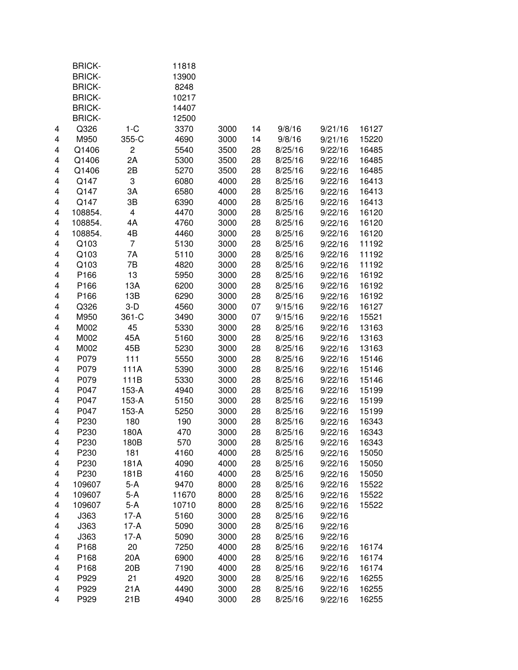|   | <b>BRICK-</b> |                         | 11818 |      |    |         |         |       |
|---|---------------|-------------------------|-------|------|----|---------|---------|-------|
|   | <b>BRICK-</b> |                         | 13900 |      |    |         |         |       |
|   | <b>BRICK-</b> |                         | 8248  |      |    |         |         |       |
|   | <b>BRICK-</b> |                         | 10217 |      |    |         |         |       |
|   | <b>BRICK-</b> |                         | 14407 |      |    |         |         |       |
|   | <b>BRICK-</b> |                         | 12500 |      |    |         |         |       |
| 4 | Q326          | $1-C$                   | 3370  | 3000 | 14 | 9/8/16  | 9/21/16 | 16127 |
| 4 | M950          | 355-C                   | 4690  | 3000 | 14 | 9/8/16  | 9/21/16 | 15220 |
| 4 | Q1406         | $\overline{c}$          | 5540  | 3500 | 28 | 8/25/16 | 9/22/16 | 16485 |
| 4 | Q1406         | 2A                      | 5300  | 3500 | 28 | 8/25/16 | 9/22/16 | 16485 |
| 4 | Q1406         | 2B                      | 5270  | 3500 | 28 | 8/25/16 | 9/22/16 | 16485 |
| 4 | Q147          | 3                       | 6080  | 4000 | 28 | 8/25/16 | 9/22/16 | 16413 |
| 4 | Q147          | 3A                      | 6580  | 4000 | 28 | 8/25/16 | 9/22/16 | 16413 |
| 4 | Q147          | 3B                      | 6390  | 4000 | 28 | 8/25/16 | 9/22/16 | 16413 |
| 4 | 108854.       | $\overline{\mathbf{4}}$ | 4470  | 3000 | 28 | 8/25/16 | 9/22/16 | 16120 |
| 4 | 108854.       | 4A                      | 4760  | 3000 | 28 | 8/25/16 | 9/22/16 | 16120 |
| 4 | 108854.       | 4B                      | 4460  | 3000 | 28 | 8/25/16 | 9/22/16 | 16120 |
| 4 | Q103          | $\overline{7}$          | 5130  | 3000 | 28 | 8/25/16 | 9/22/16 | 11192 |
| 4 | Q103          | 7A                      | 5110  | 3000 | 28 | 8/25/16 | 9/22/16 | 11192 |
| 4 | Q103          | 7B                      | 4820  | 3000 | 28 | 8/25/16 | 9/22/16 | 11192 |
| 4 | P166          | 13                      | 5950  | 3000 | 28 | 8/25/16 | 9/22/16 | 16192 |
| 4 | P166          | 13A                     | 6200  | 3000 | 28 | 8/25/16 | 9/22/16 | 16192 |
| 4 | P166          | 13B                     | 6290  | 3000 | 28 | 8/25/16 | 9/22/16 | 16192 |
| 4 | Q326          | $3-D$                   | 4560  | 3000 | 07 | 9/15/16 | 9/22/16 | 16127 |
| 4 | M950          | 361-C                   | 3490  | 3000 | 07 | 9/15/16 | 9/22/16 | 15521 |
| 4 | M002          | 45                      | 5330  | 3000 | 28 | 8/25/16 | 9/22/16 | 13163 |
| 4 | M002          | 45A                     | 5160  | 3000 | 28 | 8/25/16 | 9/22/16 | 13163 |
| 4 | M002          | 45B                     | 5230  | 3000 | 28 | 8/25/16 | 9/22/16 | 13163 |
| 4 | P079          | 111                     | 5550  | 3000 | 28 | 8/25/16 | 9/22/16 | 15146 |
| 4 | P079          | 111A                    | 5390  | 3000 | 28 | 8/25/16 | 9/22/16 | 15146 |
| 4 | P079          | 111B                    | 5330  | 3000 | 28 | 8/25/16 | 9/22/16 | 15146 |
| 4 | P047          | 153-A                   | 4940  | 3000 | 28 | 8/25/16 | 9/22/16 | 15199 |
| 4 | P047          | $153-A$                 | 5150  | 3000 | 28 | 8/25/16 | 9/22/16 | 15199 |
| 4 | P047          | 153-A                   | 5250  | 3000 | 28 | 8/25/16 | 9/22/16 | 15199 |
| 4 | P230          | 180                     | 190   | 3000 | 28 | 8/25/16 | 9/22/16 | 16343 |
| 4 | P230          | 180A                    | 470   | 3000 | 28 | 8/25/16 | 9/22/16 | 16343 |
| 4 | P230          | 180B                    | 570   | 3000 | 28 | 8/25/16 | 9/22/16 | 16343 |
| 4 | P230          | 181                     | 4160  | 4000 | 28 | 8/25/16 | 9/22/16 | 15050 |
| 4 | P230          | 181A                    | 4090  | 4000 | 28 | 8/25/16 | 9/22/16 | 15050 |
| 4 | P230          | 181B                    | 4160  | 4000 | 28 | 8/25/16 | 9/22/16 | 15050 |
| 4 | 109607        | $5-A$                   | 9470  | 8000 | 28 | 8/25/16 | 9/22/16 | 15522 |
| 4 | 109607        | $5-A$                   | 11670 | 8000 | 28 | 8/25/16 | 9/22/16 | 15522 |
| 4 | 109607        | 5-A                     | 10710 | 8000 | 28 | 8/25/16 | 9/22/16 | 15522 |
| 4 | J363          | $17-A$                  | 5160  | 3000 | 28 | 8/25/16 | 9/22/16 |       |
| 4 | J363          | $17-A$                  | 5090  | 3000 | 28 | 8/25/16 | 9/22/16 |       |
| 4 | J363          | $17-A$                  | 5090  | 3000 | 28 | 8/25/16 | 9/22/16 |       |
| 4 | P168          | 20                      | 7250  | 4000 | 28 | 8/25/16 | 9/22/16 | 16174 |
| 4 | P168          | 20A                     | 6900  | 4000 | 28 | 8/25/16 | 9/22/16 | 16174 |
| 4 | P168          | 20 <sub>B</sub>         | 7190  | 4000 | 28 | 8/25/16 | 9/22/16 | 16174 |
| 4 | P929          | 21                      | 4920  | 3000 | 28 | 8/25/16 | 9/22/16 | 16255 |
| 4 | P929          | 21A                     | 4490  | 3000 | 28 | 8/25/16 | 9/22/16 | 16255 |
| 4 | P929          | 21B                     | 4940  | 3000 | 28 | 8/25/16 | 9/22/16 | 16255 |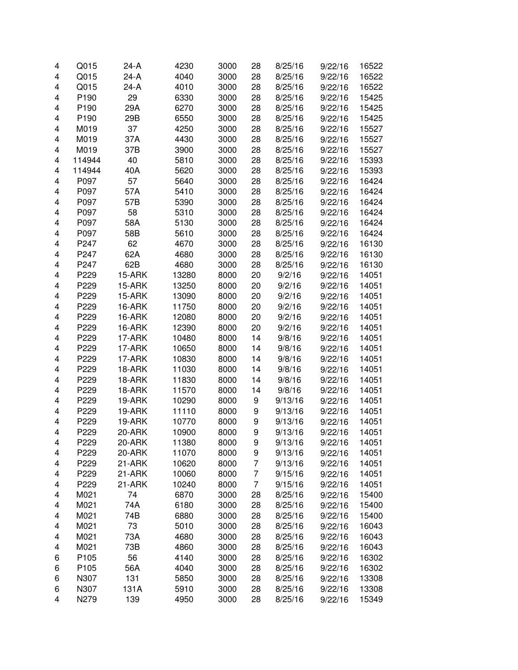| 4 | Q015             | 24-A   | 4230  | 3000 | 28 | 8/25/16 | 9/22/16 | 16522 |
|---|------------------|--------|-------|------|----|---------|---------|-------|
| 4 | Q015             | $24-A$ | 4040  | 3000 | 28 | 8/25/16 | 9/22/16 | 16522 |
| 4 | Q015             | $24-A$ | 4010  | 3000 | 28 | 8/25/16 | 9/22/16 | 16522 |
| 4 | P190             | 29     | 6330  | 3000 | 28 | 8/25/16 | 9/22/16 | 15425 |
| 4 | P190             | 29A    | 6270  | 3000 | 28 | 8/25/16 | 9/22/16 | 15425 |
| 4 | P <sub>190</sub> | 29B    | 6550  | 3000 | 28 | 8/25/16 | 9/22/16 | 15425 |
| 4 | M019             | 37     | 4250  | 3000 | 28 | 8/25/16 | 9/22/16 | 15527 |
| 4 | M019             | 37A    | 4430  | 3000 | 28 | 8/25/16 | 9/22/16 | 15527 |
| 4 | M019             | 37B    | 3900  | 3000 | 28 | 8/25/16 | 9/22/16 | 15527 |
| 4 | 114944           | 40     | 5810  | 3000 | 28 | 8/25/16 | 9/22/16 | 15393 |
| 4 | 114944           | 40A    | 5620  | 3000 | 28 | 8/25/16 | 9/22/16 | 15393 |
| 4 | P097             | 57     | 5640  | 3000 | 28 | 8/25/16 | 9/22/16 | 16424 |
| 4 | P097             | 57A    | 5410  | 3000 | 28 | 8/25/16 | 9/22/16 | 16424 |
| 4 | P097             | 57B    | 5390  | 3000 | 28 | 8/25/16 | 9/22/16 | 16424 |
| 4 | P097             | 58     | 5310  | 3000 | 28 | 8/25/16 | 9/22/16 | 16424 |
| 4 | P097             | 58A    | 5130  | 3000 | 28 | 8/25/16 | 9/22/16 | 16424 |
| 4 | P097             | 58B    | 5610  | 3000 | 28 | 8/25/16 | 9/22/16 | 16424 |
| 4 | P247             | 62     | 4670  | 3000 | 28 | 8/25/16 | 9/22/16 | 16130 |
| 4 | P247             | 62A    | 4680  | 3000 | 28 | 8/25/16 | 9/22/16 | 16130 |
| 4 | P247             | 62B    | 4680  | 3000 | 28 | 8/25/16 | 9/22/16 | 16130 |
| 4 | P229             | 15-ARK | 13280 | 8000 | 20 | 9/2/16  | 9/22/16 | 14051 |
| 4 | P229             | 15-ARK | 13250 | 8000 | 20 | 9/2/16  | 9/22/16 | 14051 |
| 4 | P229             | 15-ARK | 13090 | 8000 | 20 | 9/2/16  | 9/22/16 | 14051 |
| 4 | P229             | 16-ARK | 11750 | 8000 | 20 | 9/2/16  | 9/22/16 | 14051 |
| 4 | P229             | 16-ARK | 12080 | 8000 | 20 | 9/2/16  | 9/22/16 | 14051 |
| 4 | P229             | 16-ARK | 12390 | 8000 | 20 | 9/2/16  | 9/22/16 | 14051 |
| 4 | P229             | 17-ARK | 10480 | 8000 | 14 | 9/8/16  | 9/22/16 | 14051 |
| 4 | P229             | 17-ARK | 10650 | 8000 | 14 | 9/8/16  | 9/22/16 | 14051 |
| 4 | P229             | 17-ARK | 10830 | 8000 | 14 | 9/8/16  | 9/22/16 | 14051 |
| 4 | P229             | 18-ARK | 11030 | 8000 | 14 | 9/8/16  | 9/22/16 | 14051 |
| 4 | P229             | 18-ARK | 11830 | 8000 | 14 | 9/8/16  | 9/22/16 | 14051 |
| 4 | P229             | 18-ARK | 11570 | 8000 | 14 | 9/8/16  | 9/22/16 | 14051 |
|   | P229             | 19-ARK |       |      |    |         | 9/22/16 | 14051 |
| 4 |                  |        | 10290 | 8000 | 9  | 9/13/16 |         |       |
| 4 | P229             | 19-ARK | 11110 | 8000 | 9  | 9/13/16 | 9/22/16 | 14051 |
| 4 | P229             | 19-ARK | 10770 | 8000 | 9  | 9/13/16 | 9/22/16 | 14051 |
| 4 | P229             | 20-ARK | 10900 | 8000 | 9  | 9/13/16 | 9/22/16 | 14051 |
| 4 | P229             | 20-ARK | 11380 | 8000 | 9  | 9/13/16 | 9/22/16 | 14051 |
| 4 | P229             | 20-ARK | 11070 | 8000 | 9  | 9/13/16 | 9/22/16 | 14051 |
| 4 | P229             | 21-ARK | 10620 | 8000 | 7  | 9/13/16 | 9/22/16 | 14051 |
| 4 | P229             | 21-ARK | 10060 | 8000 | 7  | 9/15/16 | 9/22/16 | 14051 |
| 4 | P229             | 21-ARK | 10240 | 8000 | 7  | 9/15/16 | 9/22/16 | 14051 |
| 4 | M021             | 74     | 6870  | 3000 | 28 | 8/25/16 | 9/22/16 | 15400 |
| 4 | M021             | 74A    | 6180  | 3000 | 28 | 8/25/16 | 9/22/16 | 15400 |
| 4 | M021             | 74B    | 6880  | 3000 | 28 | 8/25/16 | 9/22/16 | 15400 |
| 4 | M021             | 73     | 5010  | 3000 | 28 | 8/25/16 | 9/22/16 | 16043 |
| 4 | M021             | 73A    | 4680  | 3000 | 28 | 8/25/16 | 9/22/16 | 16043 |
| 4 | M021             | 73B    | 4860  | 3000 | 28 | 8/25/16 | 9/22/16 | 16043 |
| 6 | P105             | 56     | 4140  | 3000 | 28 | 8/25/16 | 9/22/16 | 16302 |
| 6 | P105             | 56A    | 4040  | 3000 | 28 | 8/25/16 | 9/22/16 | 16302 |
| 6 | N307             | 131    | 5850  | 3000 | 28 | 8/25/16 | 9/22/16 | 13308 |
| 6 | N307             | 131A   | 5910  | 3000 | 28 | 8/25/16 | 9/22/16 | 13308 |
| 4 | N279             | 139    | 4950  | 3000 | 28 | 8/25/16 | 9/22/16 | 15349 |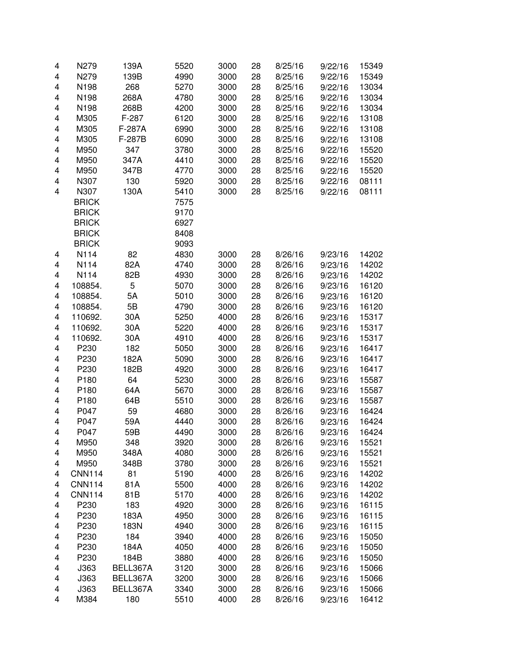| 4                       | N279             | 139A     | 5520 | 3000 | 28 | 8/25/16 | 9/22/16 | 15349 |
|-------------------------|------------------|----------|------|------|----|---------|---------|-------|
| $\overline{\mathbf{4}}$ | N279             | 139B     | 4990 | 3000 | 28 | 8/25/16 | 9/22/16 | 15349 |
| 4                       | N198             | 268      | 5270 | 3000 | 28 | 8/25/16 | 9/22/16 | 13034 |
| 4                       | N198             | 268A     | 4780 | 3000 | 28 | 8/25/16 | 9/22/16 | 13034 |
| 4                       | N198             | 268B     | 4200 | 3000 | 28 | 8/25/16 | 9/22/16 | 13034 |
| 4                       | M305             | F-287    | 6120 | 3000 | 28 | 8/25/16 | 9/22/16 | 13108 |
| 4                       | M305             | F-287A   | 6990 | 3000 | 28 | 8/25/16 | 9/22/16 | 13108 |
| 4                       | M305             | F-287B   | 6090 | 3000 | 28 | 8/25/16 | 9/22/16 | 13108 |
| 4                       | M950             | 347      | 3780 | 3000 | 28 | 8/25/16 | 9/22/16 | 15520 |
| $\overline{\mathbf{4}}$ | M950             | 347A     | 4410 | 3000 | 28 | 8/25/16 | 9/22/16 | 15520 |
| $\overline{\mathbf{4}}$ | M950             | 347B     | 4770 | 3000 | 28 | 8/25/16 | 9/22/16 | 15520 |
| $\overline{\mathbf{4}}$ | N307             | 130      | 5920 | 3000 | 28 | 8/25/16 | 9/22/16 | 08111 |
| $\overline{\mathbf{4}}$ | N307             | 130A     | 5410 | 3000 | 28 | 8/25/16 | 9/22/16 | 08111 |
|                         | <b>BRICK</b>     |          | 7575 |      |    |         |         |       |
|                         | <b>BRICK</b>     |          | 9170 |      |    |         |         |       |
|                         | <b>BRICK</b>     |          | 6927 |      |    |         |         |       |
|                         | <b>BRICK</b>     |          | 8408 |      |    |         |         |       |
|                         | <b>BRICK</b>     |          | 9093 |      |    |         |         |       |
| 4                       | N114             | 82       | 4830 | 3000 | 28 | 8/26/16 | 9/23/16 | 14202 |
| 4                       | N114             | 82A      | 4740 | 3000 | 28 | 8/26/16 | 9/23/16 | 14202 |
| 4                       | N114             | 82B      | 4930 | 3000 | 28 | 8/26/16 | 9/23/16 | 14202 |
|                         | 108854.          | 5        | 5070 | 3000 | 28 | 8/26/16 |         | 16120 |
| 4                       |                  |          |      | 3000 |    |         | 9/23/16 |       |
| 4                       | 108854.          | 5A       | 5010 |      | 28 | 8/26/16 | 9/23/16 | 16120 |
| 4                       | 108854.          | 5B       | 4790 | 3000 | 28 | 8/26/16 | 9/23/16 | 16120 |
| 4                       | 110692.          | 30A      | 5250 | 4000 | 28 | 8/26/16 | 9/23/16 | 15317 |
| 4                       | 110692.          | 30A      | 5220 | 4000 | 28 | 8/26/16 | 9/23/16 | 15317 |
| 4                       | 110692.          | 30A      | 4910 | 4000 | 28 | 8/26/16 | 9/23/16 | 15317 |
| $\overline{\mathbf{4}}$ | P230             | 182      | 5050 | 3000 | 28 | 8/26/16 | 9/23/16 | 16417 |
| $\overline{\mathbf{4}}$ | P230             | 182A     | 5090 | 3000 | 28 | 8/26/16 | 9/23/16 | 16417 |
| $\overline{\mathbf{4}}$ | P230             | 182B     | 4920 | 3000 | 28 | 8/26/16 | 9/23/16 | 16417 |
| $\overline{\mathbf{4}}$ | P <sub>180</sub> | 64       | 5230 | 3000 | 28 | 8/26/16 | 9/23/16 | 15587 |
| $\overline{\mathbf{4}}$ | P180             | 64A      | 5670 | 3000 | 28 | 8/26/16 | 9/23/16 | 15587 |
| $\overline{\mathbf{4}}$ | P180             | 64B      | 5510 | 3000 | 28 | 8/26/16 | 9/23/16 | 15587 |
| $\overline{\mathbf{4}}$ | P047             | 59       | 4680 | 3000 | 28 | 8/26/16 | 9/23/16 | 16424 |
| $\overline{\mathbf{4}}$ | P047             | 59A      | 4440 | 3000 | 28 | 8/26/16 | 9/23/16 | 16424 |
| $\overline{\mathbf{4}}$ | P047             | 59B      | 4490 | 3000 | 28 | 8/26/16 | 9/23/16 | 16424 |
| 4                       | M950             | 348      | 3920 | 3000 | 28 | 8/26/16 | 9/23/16 | 15521 |
| 4                       | M950             | 348A     | 4080 | 3000 | 28 | 8/26/16 | 9/23/16 | 15521 |
| 4                       | M950             | 348B     | 3780 | 3000 | 28 | 8/26/16 | 9/23/16 | 15521 |
| 4                       | <b>CNN114</b>    | 81       | 5190 | 4000 | 28 | 8/26/16 | 9/23/16 | 14202 |
| 4                       | <b>CNN114</b>    | 81A      | 5500 | 4000 | 28 | 8/26/16 | 9/23/16 | 14202 |
| 4                       | <b>CNN114</b>    | 81B      | 5170 | 4000 | 28 | 8/26/16 | 9/23/16 | 14202 |
| 4                       | P230             | 183      | 4920 | 3000 | 28 | 8/26/16 | 9/23/16 | 16115 |
| 4                       | P230             | 183A     | 4950 | 3000 | 28 | 8/26/16 | 9/23/16 | 16115 |
| 4                       | P230             | 183N     | 4940 | 3000 | 28 | 8/26/16 | 9/23/16 | 16115 |
| 4                       | P230             | 184      | 3940 | 4000 | 28 | 8/26/16 | 9/23/16 | 15050 |
| 4                       | P230             | 184A     | 4050 | 4000 | 28 | 8/26/16 | 9/23/16 | 15050 |
| 4                       | P230             | 184B     | 3880 | 4000 | 28 | 8/26/16 | 9/23/16 | 15050 |
| 4                       | J363             | BELL367A | 3120 | 3000 | 28 | 8/26/16 | 9/23/16 | 15066 |
| 4                       | J363             | BELL367A | 3200 | 3000 | 28 | 8/26/16 | 9/23/16 | 15066 |
| 4                       | J363             | BELL367A | 3340 | 3000 | 28 | 8/26/16 | 9/23/16 | 15066 |
| $\overline{\mathbf{4}}$ | M384             | 180      | 5510 | 4000 | 28 | 8/26/16 | 9/23/16 | 16412 |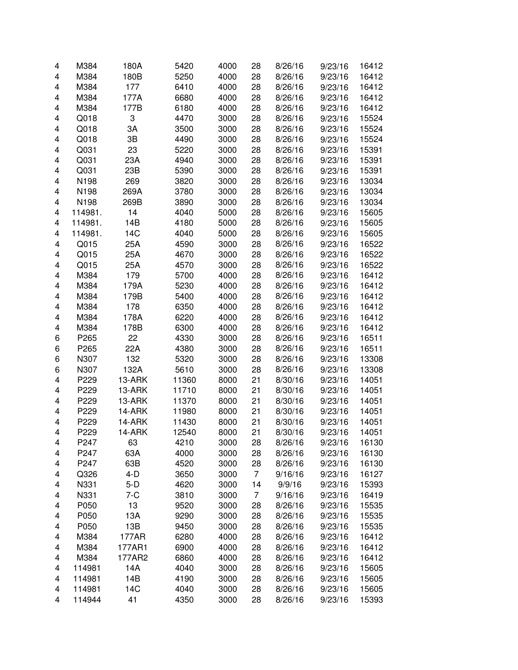| 4                       | M384    | 180A         | 5420  | 4000 | 28 | 8/26/16 | 9/23/16 | 16412 |
|-------------------------|---------|--------------|-------|------|----|---------|---------|-------|
| 4                       | M384    | 180B         | 5250  | 4000 | 28 | 8/26/16 | 9/23/16 | 16412 |
| 4                       | M384    | 177          | 6410  | 4000 | 28 | 8/26/16 | 9/23/16 | 16412 |
| 4                       | M384    | 177A         | 6680  | 4000 | 28 | 8/26/16 | 9/23/16 | 16412 |
| 4                       | M384    | 177B         | 6180  | 4000 | 28 | 8/26/16 | 9/23/16 | 16412 |
| 4                       | Q018    | 3            | 4470  | 3000 | 28 | 8/26/16 | 9/23/16 | 15524 |
| 4                       | Q018    | 3A           | 3500  | 3000 | 28 | 8/26/16 | 9/23/16 | 15524 |
| 4                       | Q018    | 3B           | 4490  | 3000 | 28 | 8/26/16 | 9/23/16 | 15524 |
| 4                       | Q031    | 23           | 5220  | 3000 | 28 | 8/26/16 | 9/23/16 | 15391 |
| 4                       | Q031    | 23A          | 4940  | 3000 | 28 | 8/26/16 | 9/23/16 | 15391 |
| 4                       | Q031    | 23B          | 5390  | 3000 | 28 | 8/26/16 | 9/23/16 | 15391 |
| 4                       | N198    | 269          | 3820  | 3000 | 28 | 8/26/16 | 9/23/16 | 13034 |
| 4                       | N198    | 269A         | 3780  | 3000 | 28 | 8/26/16 | 9/23/16 | 13034 |
| 4                       | N198    | 269B         | 3890  | 3000 | 28 | 8/26/16 | 9/23/16 | 13034 |
| 4                       | 114981. | 14           | 4040  | 5000 | 28 | 8/26/16 | 9/23/16 | 15605 |
| 4                       | 114981. | 14B          | 4180  | 5000 | 28 | 8/26/16 | 9/23/16 | 15605 |
| 4                       | 114981. | 14C          | 4040  | 5000 | 28 | 8/26/16 | 9/23/16 | 15605 |
| 4                       | Q015    | 25A          | 4590  | 3000 | 28 | 8/26/16 | 9/23/16 | 16522 |
| 4                       | Q015    | 25A          | 4670  | 3000 | 28 | 8/26/16 | 9/23/16 | 16522 |
| 4                       | Q015    | 25A          | 4570  | 3000 | 28 | 8/26/16 | 9/23/16 | 16522 |
| 4                       | M384    | 179          | 5700  | 4000 | 28 | 8/26/16 | 9/23/16 | 16412 |
| 4                       | M384    | 179A         | 5230  | 4000 | 28 | 8/26/16 | 9/23/16 | 16412 |
| 4                       | M384    | 179B         | 5400  | 4000 | 28 | 8/26/16 | 9/23/16 | 16412 |
| 4                       | M384    | 178          | 6350  | 4000 | 28 | 8/26/16 | 9/23/16 | 16412 |
| 4                       | M384    | 178A         | 6220  |      | 28 | 8/26/16 | 9/23/16 | 16412 |
|                         |         |              |       | 4000 |    |         |         |       |
| $\overline{\mathbf{4}}$ | M384    | 178B         | 6300  | 4000 | 28 | 8/26/16 | 9/23/16 | 16412 |
| 6                       | P265    | 22           | 4330  | 3000 | 28 | 8/26/16 | 9/23/16 | 16511 |
| 6                       | P265    | 22A          | 4380  | 3000 | 28 | 8/26/16 | 9/23/16 | 16511 |
| 6                       | N307    | 132          | 5320  | 3000 | 28 | 8/26/16 | 9/23/16 | 13308 |
| 6                       | N307    | 132A         | 5610  | 3000 | 28 | 8/26/16 | 9/23/16 | 13308 |
| 4                       | P229    | 13-ARK       | 11360 | 8000 | 21 | 8/30/16 | 9/23/16 | 14051 |
| 4                       | P229    | 13-ARK       | 11710 | 8000 | 21 | 8/30/16 | 9/23/16 | 14051 |
| 4                       | P229    | 13-ARK       | 11370 | 8000 | 21 | 8/30/16 | 9/23/16 | 14051 |
| 4                       | P229    | 14-ARK       | 11980 | 8000 | 21 | 8/30/16 | 9/23/16 | 14051 |
| 4                       | P229    | 14-ARK       | 11430 | 8000 | 21 | 8/30/16 | 9/23/16 | 14051 |
| 4                       | P229    | 14-ARK       | 12540 | 8000 | 21 | 8/30/16 | 9/23/16 | 14051 |
| 4                       | P247    | 63           | 4210  | 3000 | 28 | 8/26/16 | 9/23/16 | 16130 |
| 4                       | P247    | 63A          | 4000  | 3000 | 28 | 8/26/16 | 9/23/16 | 16130 |
| 4                       | P247    | 63B          | 4520  | 3000 | 28 | 8/26/16 | 9/23/16 | 16130 |
| 4                       | Q326    | $4-D$        | 3650  | 3000 | 7  | 9/16/16 | 9/23/16 | 16127 |
| 4                       | N331    | $5-D$        | 4620  | 3000 | 14 | 9/9/16  | 9/23/16 | 15393 |
| 4                       | N331    | $7 - C$      | 3810  | 3000 | 7  | 9/16/16 | 9/23/16 | 16419 |
| 4                       | P050    | 13           | 9520  | 3000 | 28 | 8/26/16 | 9/23/16 | 15535 |
| 4                       | P050    | 13A          | 9290  | 3000 | 28 | 8/26/16 | 9/23/16 | 15535 |
| 4                       | P050    | 13B          | 9450  | 3000 | 28 | 8/26/16 | 9/23/16 | 15535 |
| 4                       | M384    | <b>177AR</b> | 6280  | 4000 | 28 | 8/26/16 | 9/23/16 | 16412 |
| 4                       | M384    | 177AR1       | 6900  | 4000 | 28 | 8/26/16 | 9/23/16 | 16412 |
| 4                       | M384    | 177AR2       | 6860  | 4000 | 28 | 8/26/16 | 9/23/16 | 16412 |
| 4                       | 114981  | 14A          | 4040  | 3000 | 28 | 8/26/16 | 9/23/16 | 15605 |
| 4                       | 114981  | 14B          | 4190  | 3000 | 28 | 8/26/16 | 9/23/16 | 15605 |
| 4                       | 114981  | 14C          | 4040  | 3000 | 28 | 8/26/16 | 9/23/16 | 15605 |
| 4                       | 114944  | 41           | 4350  | 3000 | 28 | 8/26/16 | 9/23/16 | 15393 |
|                         |         |              |       |      |    |         |         |       |